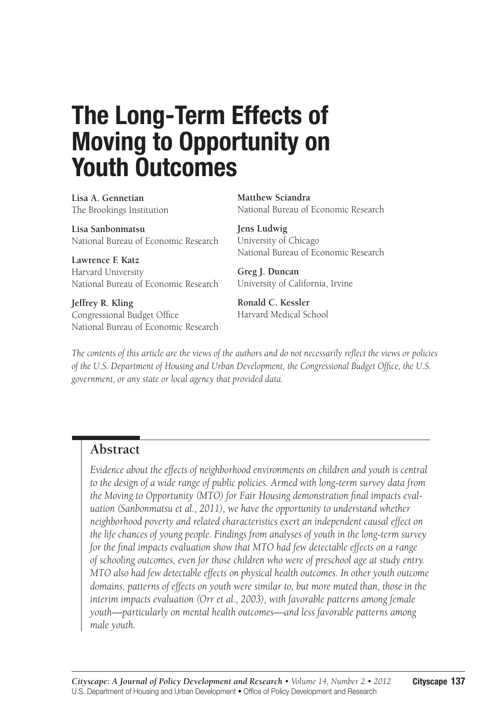# **The Long-Term Effects of Moving to Opportunity on Youth Outcomes**

**Lisa A. Gennetian** The Brookings Institution

**Lisa Sanbonmatsu** National Bureau of Economic Research

**Lawrence F. Katz** Harvard University National Bureau of Economic Research

**Jeffrey R. Kling** Congressional Budget Office National Bureau of Economic Research **Matthew Sciandra** National Bureau of Economic Research

**Jens Ludwig** University of Chicago National Bureau of Economic Research

**Greg J. Duncan** University of California, Irvine

**Ronald C. Kessler** Harvard Medical School

*The contents of this article are the views of the authors and do not necessarily reflect the views or policies of the U.S. Department of Housing and Urban Development, the Congressional Budget Office, the U.S. government, or any state or local agency that provided data.*

## **Abstract**

*Evidence about the effects of neighborhood environments on children and youth is central to the design of a wide range of public policies. Armed with long-term survey data from the Moving to Opportunity (MTO) for Fair Housing demonstration final impacts evaluation (Sanbonmatsu et al., 2011), we have the opportunity to understand whether neighborhood poverty and related characteristics exert an independent causal effect on the life chances of young people. Findings from analyses of youth in the long-term survey for the final impacts evaluation show that MTO had few detectable effects on a range of schooling outcomes, even for those children who were of preschool age at study entry. MTO also had few detectable effects on physical health outcomes. In other youth outcome domains, patterns of effects on youth were similar to, but more muted than, those in the interim impacts evaluation (Orr et al., 2003), with favorable patterns among female youth—particularly on mental health outcomes—and less favorable patterns among male youth.*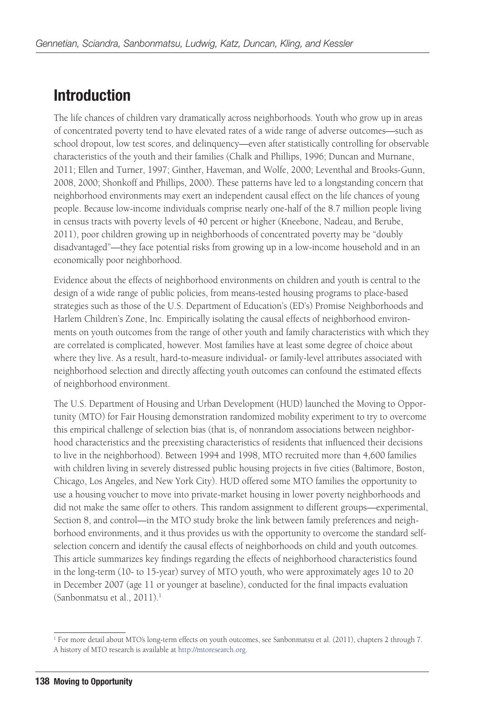## **Introduction**

The life chances of children vary dramatically across neighborhoods. Youth who grow up in areas of concentrated poverty tend to have elevated rates of a wide range of adverse outcomes—such as school dropout, low test scores, and delinquency—even after statistically controlling for observable characteristics of the youth and their families (Chalk and Phillips, 1996; Duncan and Murnane, 2011; Ellen and Turner, 1997; Ginther, Haveman, and Wolfe, 2000; Leventhal and Brooks-Gunn, 2008, 2000; Shonkoff and Phillips, 2000). These patterns have led to a longstanding concern that neighborhood environments may exert an independent causal effect on the life chances of young people. Because low-income individuals comprise nearly one-half of the 8.7 million people living in census tracts with poverty levels of 40 percent or higher (Kneebone, Nadeau, and Berube, 2011), poor children growing up in neighborhoods of concentrated poverty may be "doubly disadvantaged"—they face potential risks from growing up in a low-income household and in an economically poor neighborhood.

Evidence about the effects of neighborhood environments on children and youth is central to the design of a wide range of public policies, from means-tested housing programs to place-based strategies such as those of the U.S. Department of Education's (ED's) Promise Neighborhoods and Harlem Children's Zone, Inc. Empirically isolating the causal effects of neighborhood environments on youth outcomes from the range of other youth and family characteristics with which they are correlated is complicated, however. Most families have at least some degree of choice about where they live. As a result, hard-to-measure individual- or family-level attributes associated with neighborhood selection and directly affecting youth outcomes can confound the estimated effects of neighborhood environment.

The U.S. Department of Housing and Urban Development (HUD) launched the Moving to Opportunity (MTO) for Fair Housing demonstration randomized mobility experiment to try to overcome this empirical challenge of selection bias (that is, of nonrandom associations between neighborhood characteristics and the preexisting characteristics of residents that influenced their decisions to live in the neighborhood). Between 1994 and 1998, MTO recruited more than 4,600 families with children living in severely distressed public housing projects in five cities (Baltimore, Boston, Chicago, Los Angeles, and New York City). HUD offered some MTO families the opportunity to use a housing voucher to move into private-market housing in lower poverty neighborhoods and did not make the same offer to others. This random assignment to different groups—experimental, Section 8, and control—in the MTO study broke the link between family preferences and neighborhood environments, and it thus provides us with the opportunity to overcome the standard selfselection concern and identify the causal effects of neighborhoods on child and youth outcomes. This article summarizes key findings regarding the effects of neighborhood characteristics found in the long-term (10- to 15-year) survey of MTO youth, who were approximately ages 10 to 20 in December 2007 (age 11 or younger at baseline), conducted for the final impacts evaluation (Sanbonmatsu et al., 2011).1

<sup>1</sup> For more detail about MTO's long-term effects on youth outcomes, see Sanbonmatsu et al. (2011), chapters 2 through 7. A history of MTO research is available at [http://mtoresearch.org.](http://mtoresearch.org)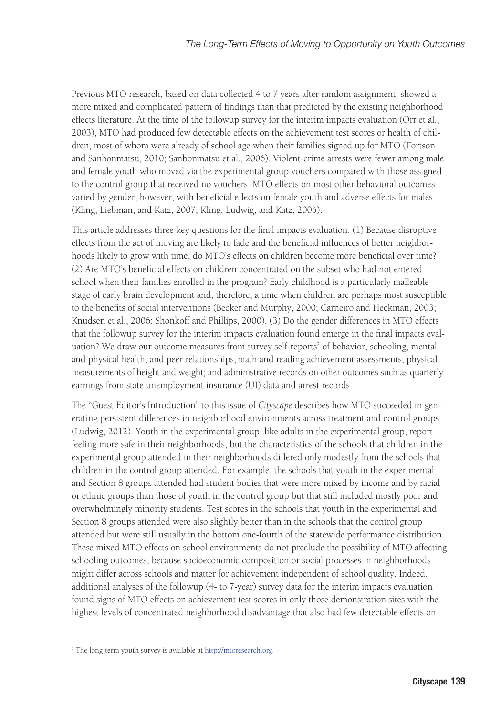Previous MTO research, based on data collected 4 to 7 years after random assignment, showed a more mixed and complicated pattern of findings than that predicted by the existing neighborhood effects literature. At the time of the followup survey for the interim impacts evaluation (Orr et al., 2003), MTO had produced few detectable effects on the achievement test scores or health of children, most of whom were already of school age when their families signed up for MTO (Fortson and Sanbonmatsu, 2010; Sanbonmatsu et al., 2006). Violent-crime arrests were fewer among male and female youth who moved via the experimental group vouchers compared with those assigned to the control group that received no vouchers. MTO effects on most other behavioral outcomes varied by gender, however, with beneficial effects on female youth and adverse effects for males (Kling, Liebman, and Katz, 2007; Kling, Ludwig, and Katz, 2005).

This article addresses three key questions for the final impacts evaluation. (1) Because disruptive effects from the act of moving are likely to fade and the beneficial influences of better neighborhoods likely to grow with time, do MTO's effects on children become more beneficial over time? (2) Are MTO's beneficial effects on children concentrated on the subset who had not entered school when their families enrolled in the program? Early childhood is a particularly malleable stage of early brain development and, therefore, a time when children are perhaps most susceptible to the benefits of social interventions (Becker and Murphy, 2000; Carneiro and Heckman, 2003; Knudsen et al., 2006; Shonkoff and Phillips, 2000). (3) Do the gender differences in MTO effects that the followup survey for the interim impacts evaluation found emerge in the final impacts evaluation? We draw our outcome measures from survey self-reports<sup>2</sup> of behavior, schooling, mental and physical health, and peer relationships; math and reading achievement assessments; physical measurements of height and weight; and administrative records on other outcomes such as quarterly earnings from state unemployment insurance (UI) data and arrest records.

The "Guest Editor's Introduction" to this issue of *Cityscape* describes how MTO succeeded in generating persistent differences in neighborhood environments across treatment and control groups (Ludwig, 2012). Youth in the experimental group, like adults in the experimental group, report feeling more safe in their neighborhoods, but the characteristics of the schools that children in the experimental group attended in their neighborhoods differed only modestly from the schools that children in the control group attended. For example, the schools that youth in the experimental and Section 8 groups attended had student bodies that were more mixed by income and by racial or ethnic groups than those of youth in the control group but that still included mostly poor and overwhelmingly minority students. Test scores in the schools that youth in the experimental and Section 8 groups attended were also slightly better than in the schools that the control group attended but were still usually in the bottom one-fourth of the statewide performance distribution. These mixed MTO effects on school environments do not preclude the possibility of MTO affecting schooling outcomes, because socioeconomic composition or social processes in neighborhoods might differ across schools and matter for achievement independent of school quality. Indeed, additional analyses of the followup (4- to 7-year) survey data for the interim impacts evaluation found signs of MTO effects on achievement test scores in only those demonstration sites with the highest levels of concentrated neighborhood disadvantage that also had few detectable effects on

<sup>&</sup>lt;sup>2</sup> The long-term youth survey is available at [http://mtoresearch.org.](http://mtoresearch.org)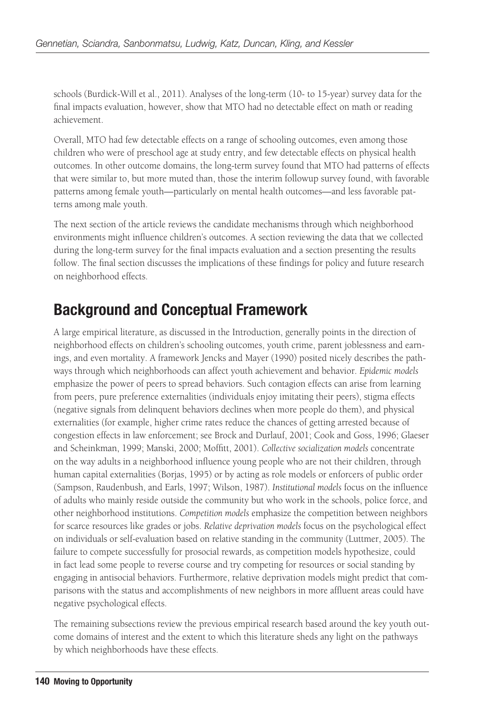schools (Burdick-Will et al., 2011). Analyses of the long-term (10- to 15-year) survey data for the final impacts evaluation, however, show that MTO had no detectable effect on math or reading achievement.

Overall, MTO had few detectable effects on a range of schooling outcomes, even among those children who were of preschool age at study entry, and few detectable effects on physical health outcomes. In other outcome domains, the long-term survey found that MTO had patterns of effects that were similar to, but more muted than, those the interim followup survey found, with favorable patterns among female youth—particularly on mental health outcomes—and less favorable patterns among male youth.

The next section of the article reviews the candidate mechanisms through which neighborhood environments might influence children's outcomes. A section reviewing the data that we collected during the long-term survey for the final impacts evaluation and a section presenting the results follow. The final section discusses the implications of these findings for policy and future research on neighborhood effects.

## **Background and Conceptual Framework**

A large empirical literature, as discussed in the Introduction, generally points in the direction of neighborhood effects on children's schooling outcomes, youth crime, parent joblessness and earnings, and even mortality. A framework Jencks and Mayer (1990) posited nicely describes the pathways through which neighborhoods can affect youth achievement and behavior. *Epidemic models* emphasize the power of peers to spread behaviors. Such contagion effects can arise from learning from peers, pure preference externalities (individuals enjoy imitating their peers), stigma effects (negative signals from delinquent behaviors declines when more people do them), and physical externalities (for example, higher crime rates reduce the chances of getting arrested because of congestion effects in law enforcement; see Brock and Durlauf, 2001; Cook and Goss, 1996; Glaeser and Scheinkman, 1999; Manski, 2000; Moffitt, 2001). *Collective socialization models* concentrate on the way adults in a neighborhood influence young people who are not their children, through human capital externalities (Borjas, 1995) or by acting as role models or enforcers of public order (Sampson, Raudenbush, and Earls, 1997; Wilson, 1987). *Institutional models* focus on the influence of adults who mainly reside outside the community but who work in the schools, police force, and other neighborhood institutions. *Competition models* emphasize the competition between neighbors for scarce resources like grades or jobs. *Relative deprivation models* focus on the psychological effect on individuals or self-evaluation based on relative standing in the community (Luttmer, 2005). The failure to compete successfully for prosocial rewards, as competition models hypothesize, could in fact lead some people to reverse course and try competing for resources or social standing by engaging in antisocial behaviors. Furthermore, relative deprivation models might predict that comparisons with the status and accomplishments of new neighbors in more affluent areas could have negative psychological effects.

The remaining subsections review the previous empirical research based around the key youth outcome domains of interest and the extent to which this literature sheds any light on the pathways by which neighborhoods have these effects.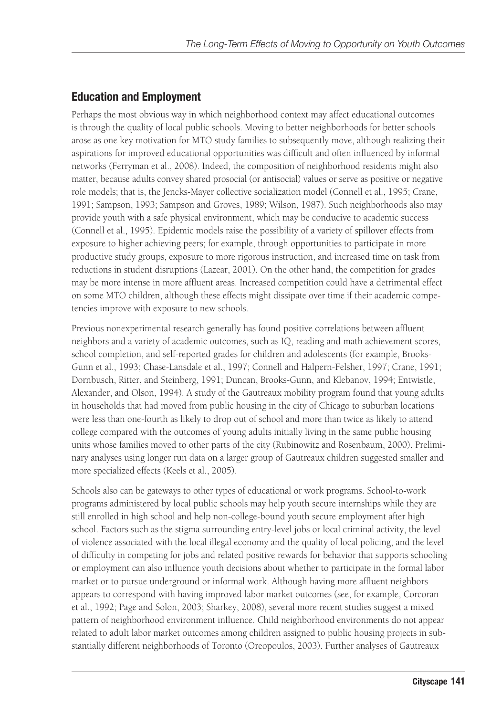## **Education and Employment**

Perhaps the most obvious way in which neighborhood context may affect educational outcomes is through the quality of local public schools. Moving to better neighborhoods for better schools arose as one key motivation for MTO study families to subsequently move, although realizing their aspirations for improved educational opportunities was difficult and often influenced by informal networks (Ferryman et al., 2008). Indeed, the composition of neighborhood residents might also matter, because adults convey shared prosocial (or antisocial) values or serve as positive or negative role models; that is, the Jencks-Mayer collective socialization model (Connell et al., 1995; Crane, 1991; Sampson, 1993; Sampson and Groves, 1989; Wilson, 1987). Such neighborhoods also may provide youth with a safe physical environment, which may be conducive to academic success (Connell et al., 1995). Epidemic models raise the possibility of a variety of spillover effects from exposure to higher achieving peers; for example, through opportunities to participate in more productive study groups, exposure to more rigorous instruction, and increased time on task from reductions in student disruptions (Lazear, 2001). On the other hand, the competition for grades may be more intense in more affluent areas. Increased competition could have a detrimental effect on some MTO children, although these effects might dissipate over time if their academic competencies improve with exposure to new schools.

Previous nonexperimental research generally has found positive correlations between affluent neighbors and a variety of academic outcomes, such as IQ, reading and math achievement scores, school completion, and self-reported grades for children and adolescents (for example, Brooks-Gunn et al., 1993; Chase-Lansdale et al., 1997; Connell and Halpern-Felsher, 1997; Crane, 1991; Dornbusch, Ritter, and Steinberg, 1991; Duncan, Brooks-Gunn, and Klebanov, 1994; Entwistle, Alexander, and Olson, 1994). A study of the Gautreaux mobility program found that young adults in households that had moved from public housing in the city of Chicago to suburban locations were less than one-fourth as likely to drop out of school and more than twice as likely to attend college compared with the outcomes of young adults initially living in the same public housing units whose families moved to other parts of the city (Rubinowitz and Rosenbaum, 2000). Preliminary analyses using longer run data on a larger group of Gautreaux children suggested smaller and more specialized effects (Keels et al., 2005).

Schools also can be gateways to other types of educational or work programs. School-to-work programs administered by local public schools may help youth secure internships while they are still enrolled in high school and help non-college-bound youth secure employment after high school. Factors such as the stigma surrounding entry-level jobs or local criminal activity, the level of violence associated with the local illegal economy and the quality of local policing, and the level of difficulty in competing for jobs and related positive rewards for behavior that supports schooling or employment can also influence youth decisions about whether to participate in the formal labor market or to pursue underground or informal work. Although having more affluent neighbors appears to correspond with having improved labor market outcomes (see, for example, Corcoran et al., 1992; Page and Solon, 2003; Sharkey, 2008), several more recent studies suggest a mixed pattern of neighborhood environment influence. Child neighborhood environments do not appear related to adult labor market outcomes among children assigned to public housing projects in substantially different neighborhoods of Toronto (Oreopoulos, 2003). Further analyses of Gautreaux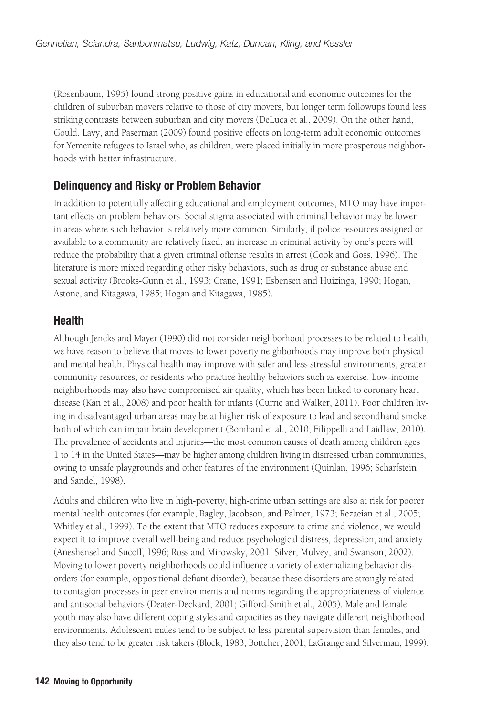(Rosenbaum, 1995) found strong positive gains in educational and economic outcomes for the children of suburban movers relative to those of city movers, but longer term followups found less striking contrasts between suburban and city movers (DeLuca et al., 2009). On the other hand, Gould, Lavy, and Paserman (2009) found positive effects on long-term adult economic outcomes for Yemenite refugees to Israel who, as children, were placed initially in more prosperous neighborhoods with better infrastructure.

### **Delinquency and Risky or Problem Behavior**

In addition to potentially affecting educational and employment outcomes, MTO may have important effects on problem behaviors. Social stigma associated with criminal behavior may be lower in areas where such behavior is relatively more common. Similarly, if police resources assigned or available to a community are relatively fixed, an increase in criminal activity by one's peers will reduce the probability that a given criminal offense results in arrest (Cook and Goss, 1996). The literature is more mixed regarding other risky behaviors, such as drug or substance abuse and sexual activity (Brooks-Gunn et al., 1993; Crane, 1991; Esbensen and Huizinga, 1990; Hogan, Astone, and Kitagawa, 1985; Hogan and Kitagawa, 1985).

### **Health**

Although Jencks and Mayer (1990) did not consider neighborhood processes to be related to health, we have reason to believe that moves to lower poverty neighborhoods may improve both physical and mental health. Physical health may improve with safer and less stressful environments, greater community resources, or residents who practice healthy behaviors such as exercise. Low-income neighborhoods may also have compromised air quality, which has been linked to coronary heart disease (Kan et al., 2008) and poor health for infants (Currie and Walker, 2011). Poor children living in disadvantaged urban areas may be at higher risk of exposure to lead and secondhand smoke, both of which can impair brain development (Bombard et al., 2010; Filippelli and Laidlaw, 2010). The prevalence of accidents and injuries—the most common causes of death among children ages 1 to 14 in the United States—may be higher among children living in distressed urban communities, owing to unsafe playgrounds and other features of the environment (Quinlan, 1996; Scharfstein and Sandel, 1998).

Adults and children who live in high-poverty, high-crime urban settings are also at risk for poorer mental health outcomes (for example, Bagley, Jacobson, and Palmer, 1973; Rezaeian et al., 2005; Whitley et al., 1999). To the extent that MTO reduces exposure to crime and violence, we would expect it to improve overall well-being and reduce psychological distress, depression, and anxiety (Aneshensel and Sucoff, 1996; Ross and Mirowsky, 2001; Silver, Mulvey, and Swanson, 2002). Moving to lower poverty neighborhoods could influence a variety of externalizing behavior disorders (for example, oppositional defiant disorder), because these disorders are strongly related to contagion processes in peer environments and norms regarding the appropriateness of violence and antisocial behaviors (Deater-Deckard, 2001; Gifford-Smith et al., 2005). Male and female youth may also have different coping styles and capacities as they navigate different neighborhood environments. Adolescent males tend to be subject to less parental supervision than females, and they also tend to be greater risk takers (Block, 1983; Bottcher, 2001; LaGrange and Silverman, 1999).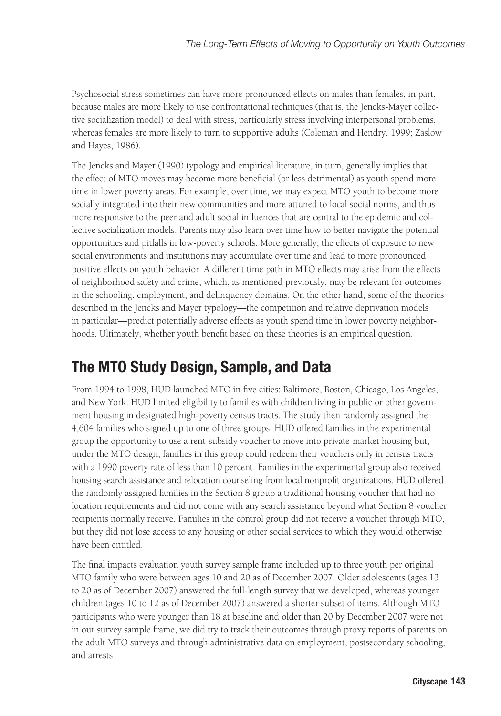Psychosocial stress sometimes can have more pronounced effects on males than females, in part, because males are more likely to use confrontational techniques (that is, the Jencks-Mayer collective socialization model) to deal with stress, particularly stress involving interpersonal problems, whereas females are more likely to turn to supportive adults (Coleman and Hendry, 1999; Zaslow and Hayes, 1986).

The Jencks and Mayer (1990) typology and empirical literature, in turn, generally implies that the effect of MTO moves may become more beneficial (or less detrimental) as youth spend more time in lower poverty areas. For example, over time, we may expect MTO youth to become more socially integrated into their new communities and more attuned to local social norms, and thus more responsive to the peer and adult social influences that are central to the epidemic and collective socialization models. Parents may also learn over time how to better navigate the potential opportunities and pitfalls in low-poverty schools. More generally, the effects of exposure to new social environments and institutions may accumulate over time and lead to more pronounced positive effects on youth behavior. A different time path in MTO effects may arise from the effects of neighborhood safety and crime, which, as mentioned previously, may be relevant for outcomes in the schooling, employment, and delinquency domains. On the other hand, some of the theories described in the Jencks and Mayer typology—the competition and relative deprivation models in particular—predict potentially adverse effects as youth spend time in lower poverty neighborhoods. Ultimately, whether youth benefit based on these theories is an empirical question.

## **The MTO Study Design, Sample, and Data**

From 1994 to 1998, HUD launched MTO in five cities: Baltimore, Boston, Chicago, Los Angeles, and New York. HUD limited eligibility to families with children living in public or other government housing in designated high-poverty census tracts. The study then randomly assigned the 4,604 families who signed up to one of three groups. HUD offered families in the experimental group the opportunity to use a rent-subsidy voucher to move into private-market housing but, under the MTO design, families in this group could redeem their vouchers only in census tracts with a 1990 poverty rate of less than 10 percent. Families in the experimental group also received housing search assistance and relocation counseling from local nonprofit organizations. HUD offered the randomly assigned families in the Section 8 group a traditional housing voucher that had no location requirements and did not come with any search assistance beyond what Section 8 voucher recipients normally receive. Families in the control group did not receive a voucher through MTO, but they did not lose access to any housing or other social services to which they would otherwise have been entitled.

The final impacts evaluation youth survey sample frame included up to three youth per original MTO family who were between ages 10 and 20 as of December 2007. Older adolescents (ages 13 to 20 as of December 2007) answered the full-length survey that we developed, whereas younger children (ages 10 to 12 as of December 2007) answered a shorter subset of items. Although MTO participants who were younger than 18 at baseline and older than 20 by December 2007 were not in our survey sample frame, we did try to track their outcomes through proxy reports of parents on the adult MTO surveys and through administrative data on employment, postsecondary schooling, and arrests.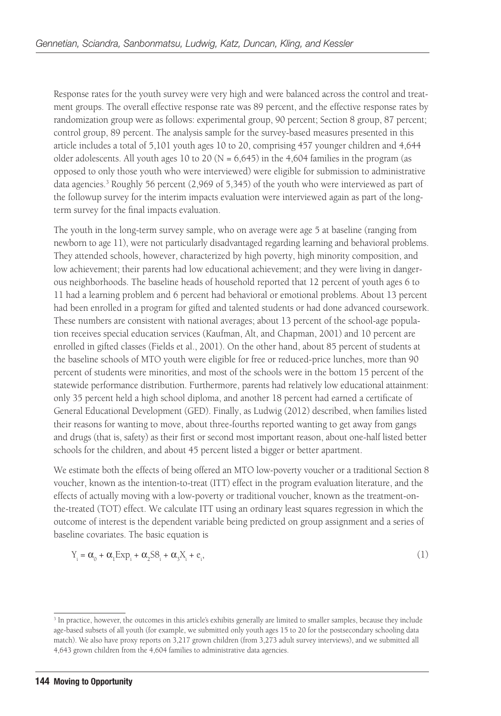Response rates for the youth survey were very high and were balanced across the control and treatment groups. The overall effective response rate was 89 percent, and the effective response rates by randomization group were as follows: experimental group, 90 percent; Section 8 group, 87 percent; control group, 89 percent. The analysis sample for the survey-based measures presented in this article includes a total of 5,101 youth ages 10 to 20, comprising 457 younger children and 4,644 older adolescents. All youth ages 10 to 20 ( $N = 6,645$ ) in the 4,604 families in the program (as opposed to only those youth who were interviewed) were eligible for submission to administrative data agencies.<sup>3</sup> Roughly 56 percent (2,969 of 5,345) of the youth who were interviewed as part of the followup survey for the interim impacts evaluation were interviewed again as part of the longterm survey for the final impacts evaluation.

The youth in the long-term survey sample, who on average were age 5 at baseline (ranging from newborn to age 11), were not particularly disadvantaged regarding learning and behavioral problems. They attended schools, however, characterized by high poverty, high minority composition, and low achievement; their parents had low educational achievement; and they were living in dangerous neighborhoods. The baseline heads of household reported that 12 percent of youth ages 6 to 11 had a learning problem and 6 percent had behavioral or emotional problems. About 13 percent had been enrolled in a program for gifted and talented students or had done advanced coursework. These numbers are consistent with national averages; about 13 percent of the school-age population receives special education services (Kaufman, Alt, and Chapman, 2001) and 10 percent are enrolled in gifted classes (Fields et al., 2001). On the other hand, about 85 percent of students at the baseline schools of MTO youth were eligible for free or reduced-price lunches, more than 90 percent of students were minorities, and most of the schools were in the bottom 15 percent of the statewide performance distribution. Furthermore, parents had relatively low educational attainment: only 35 percent held a high school diploma, and another 18 percent had earned a certificate of General Educational Development (GED). Finally, as Ludwig (2012) described, when families listed their reasons for wanting to move, about three-fourths reported wanting to get away from gangs and drugs (that is, safety) as their first or second most important reason, about one-half listed better schools for the children, and about 45 percent listed a bigger or better apartment.

We estimate both the effects of being offered an MTO low-poverty voucher or a traditional Section 8 voucher, known as the intention-to-treat (ITT) effect in the program evaluation literature, and the effects of actually moving with a low-poverty or traditional voucher, known as the treatment-onthe-treated (TOT) effect. We calculate ITT using an ordinary least squares regression in which the outcome of interest is the dependent variable being predicted on group assignment and a series of baseline covariates. The basic equation is

$$
Y_i = \alpha_0 + \alpha_1 \operatorname{Exp}_i + \alpha_2 \operatorname{SS}_i + \alpha_3 X_i + e_i,\tag{1}
$$

<sup>&</sup>lt;sup>3</sup> In practice, however, the outcomes in this article's exhibits generally are limited to smaller samples, because they include age-based subsets of all youth (for example, we submitted only youth ages 15 to 20 for the postsecondary schooling data match). We also have proxy reports on 3,217 grown children (from 3,273 adult survey interviews), and we submitted all 4,643 grown children from the 4,604 families to administrative data agencies.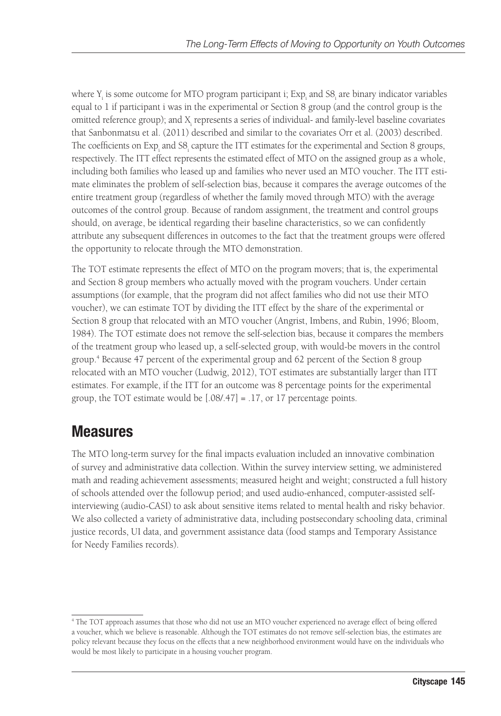where  $Y_i$  is some outcome for MTO program participant i;  $Exp_i$  and  $SS_i$  are binary indicator variables equal to 1 if participant i was in the experimental or Section 8 group (and the control group is the omitted reference group); and  $\mathrm{X}_{\mathrm{i}}$  represents a series of individual- and family-level baseline covariates that Sanbonmatsu et al. (2011) described and similar to the covariates Orr et al. (2003) described. The coefficients on  $Exp_i$  and  $S8_i$  capture the ITT estimates for the experimental and Section 8 groups, respectively. The ITT effect represents the estimated effect of MTO on the assigned group as a whole, including both families who leased up and families who never used an MTO voucher. The ITT estimate eliminates the problem of self-selection bias, because it compares the average outcomes of the entire treatment group (regardless of whether the family moved through MTO) with the average outcomes of the control group. Because of random assignment, the treatment and control groups should, on average, be identical regarding their baseline characteristics, so we can confidently attribute any subsequent differences in outcomes to the fact that the treatment groups were offered the opportunity to relocate through the MTO demonstration.

The TOT estimate represents the effect of MTO on the program movers; that is, the experimental and Section 8 group members who actually moved with the program vouchers. Under certain assumptions (for example, that the program did not affect families who did not use their MTO voucher), we can estimate TOT by dividing the ITT effect by the share of the experimental or Section 8 group that relocated with an MTO voucher (Angrist, Imbens, and Rubin, 1996; Bloom, 1984). The TOT estimate does not remove the self-selection bias, because it compares the members of the treatment group who leased up, a self-selected group, with would-be movers in the control group.4 Because 47 percent of the experimental group and 62 percent of the Section 8 group relocated with an MTO voucher (Ludwig, 2012), TOT estimates are substantially larger than ITT estimates. For example, if the ITT for an outcome was 8 percentage points for the experimental group, the TOT estimate would be [.08/.47] = .17, or 17 percentage points.

## **Measures**

The MTO long-term survey for the final impacts evaluation included an innovative combination of survey and administrative data collection. Within the survey interview setting, we administered math and reading achievement assessments; measured height and weight; constructed a full history of schools attended over the followup period; and used audio-enhanced, computer-assisted selfinterviewing (audio-CASI) to ask about sensitive items related to mental health and risky behavior. We also collected a variety of administrative data, including postsecondary schooling data, criminal justice records, UI data, and government assistance data (food stamps and Temporary Assistance for Needy Families records).

<sup>4</sup> The TOT approach assumes that those who did not use an MTO voucher experienced no average effect of being offered a voucher, which we believe is reasonable. Although the TOT estimates do not remove self-selection bias, the estimates are policy relevant because they focus on the effects that a new neighborhood environment would have on the individuals who would be most likely to participate in a housing voucher program.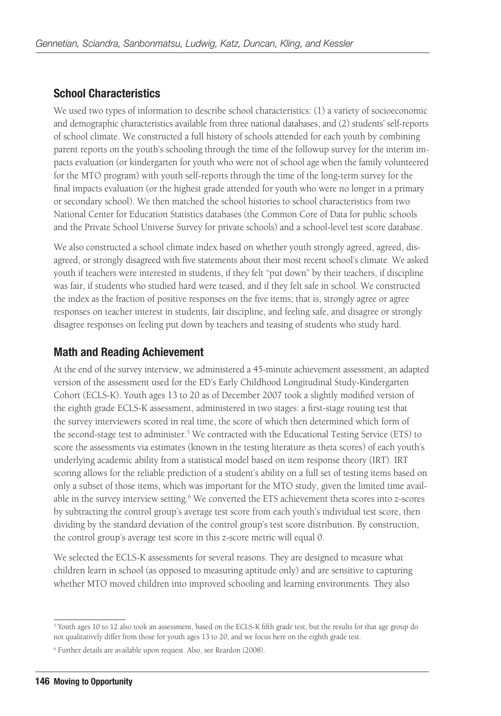## **School Characteristics**

We used two types of information to describe school characteristics: (1) a variety of socioeconomic and demographic characteristics available from three national databases, and (2) students' self-reports of school climate. We constructed a full history of schools attended for each youth by combining parent reports on the youth's schooling through the time of the followup survey for the interim impacts evaluation (or kindergarten for youth who were not of school age when the family volunteered for the MTO program) with youth self-reports through the time of the long-term survey for the final impacts evaluation (or the highest grade attended for youth who were no longer in a primary or secondary school). We then matched the school histories to school characteristics from two National Center for Education Statistics databases (the Common Core of Data for public schools and the Private School Universe Survey for private schools) and a school-level test score database.

We also constructed a school climate index based on whether youth strongly agreed, agreed, disagreed, or strongly disagreed with five statements about their most recent school's climate. We asked youth if teachers were interested in students, if they felt "put down" by their teachers, if discipline was fair, if students who studied hard were teased, and if they felt safe in school. We constructed the index as the fraction of positive responses on the five items; that is, strongly agree or agree responses on teacher interest in students, fair discipline, and feeling safe, and disagree or strongly disagree responses on feeling put down by teachers and teasing of students who study hard.

### **Math and Reading Achievement**

At the end of the survey interview, we administered a 45-minute achievement assessment, an adapted version of the assessment used for the ED's Early Childhood Longitudinal Study-Kindergarten Cohort (ECLS-K). Youth ages 13 to 20 as of December 2007 took a slightly modified version of the eighth grade ECLS-K assessment, administered in two stages: a first-stage routing test that the survey interviewers scored in real time, the score of which then determined which form of the second-stage test to administer.<sup>5</sup> We contracted with the Educational Testing Service (ETS) to score the assessments via estimates (known in the testing literature as theta scores) of each youth's underlying academic ability from a statistical model based on item response theory (IRT). IRT scoring allows for the reliable prediction of a student's ability on a full set of testing items based on only a subset of those items, which was important for the MTO study, given the limited time available in the survey interview setting.<sup>6</sup> We converted the ETS achievement theta scores into z-scores by subtracting the control group's average test score from each youth's individual test score, then dividing by the standard deviation of the control group's test score distribution. By construction, the control group's average test score in this z-score metric will equal 0.

We selected the ECLS-K assessments for several reasons. They are designed to measure what children learn in school (as opposed to measuring aptitude only) and are sensitive to capturing whether MTO moved children into improved schooling and learning environments. They also

<sup>&</sup>lt;sup>5</sup> Youth ages 10 to 12 also took an assessment, based on the ECLS-K fifth grade test, but the results for that age group do not qualitatively differ from those for youth ages 13 to 20, and we focus here on the eighth grade test.

<sup>6</sup> Further details are available upon request. Also, see Reardon (2008).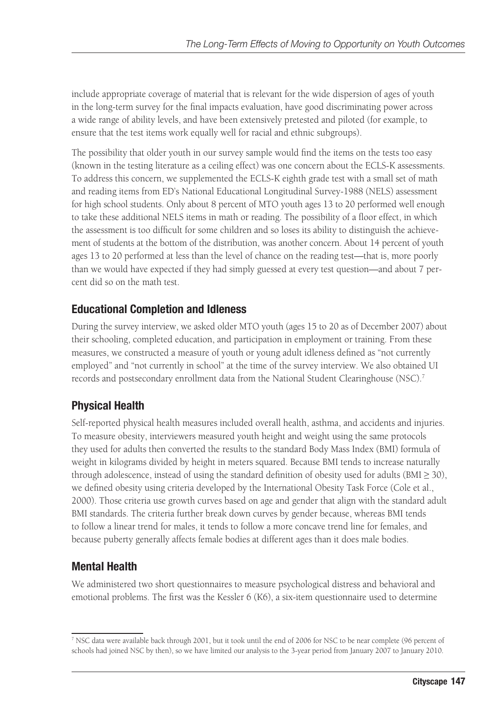include appropriate coverage of material that is relevant for the wide dispersion of ages of youth in the long-term survey for the final impacts evaluation, have good discriminating power across a wide range of ability levels, and have been extensively pretested and piloted (for example, to ensure that the test items work equally well for racial and ethnic subgroups).

The possibility that older youth in our survey sample would find the items on the tests too easy (known in the testing literature as a ceiling effect) was one concern about the ECLS-K assessments. To address this concern, we supplemented the ECLS-K eighth grade test with a small set of math and reading items from ED's National Educational Longitudinal Survey-1988 (NELS) assessment for high school students. Only about 8 percent of MTO youth ages 13 to 20 performed well enough to take these additional NELS items in math or reading. The possibility of a floor effect, in which the assessment is too difficult for some children and so loses its ability to distinguish the achievement of students at the bottom of the distribution, was another concern. About 14 percent of youth ages 13 to 20 performed at less than the level of chance on the reading test—that is, more poorly than we would have expected if they had simply guessed at every test question—and about 7 percent did so on the math test.

## **Educational Completion and Idleness**

During the survey interview, we asked older MTO youth (ages 15 to 20 as of December 2007) about their schooling, completed education, and participation in employment or training. From these measures, we constructed a measure of youth or young adult idleness defined as "not currently employed" and "not currently in school" at the time of the survey interview. We also obtained UI records and postsecondary enrollment data from the National Student Clearinghouse (NSC).7

## **Physical Health**

Self-reported physical health measures included overall health, asthma, and accidents and injuries. To measure obesity, interviewers measured youth height and weight using the same protocols they used for adults then converted the results to the standard Body Mass Index (BMI) formula of weight in kilograms divided by height in meters squared. Because BMI tends to increase naturally through adolescence, instead of using the standard definition of obesity used for adults ( $BMI \geq 30$ ), we defined obesity using criteria developed by the International Obesity Task Force (Cole et al., 2000). Those criteria use growth curves based on age and gender that align with the standard adult BMI standards. The criteria further break down curves by gender because, whereas BMI tends to follow a linear trend for males, it tends to follow a more concave trend line for females, and because puberty generally affects female bodies at different ages than it does male bodies.

## **Mental Health**

We administered two short questionnaires to measure psychological distress and behavioral and emotional problems. The first was the Kessler 6 (K6), a six-item questionnaire used to determine

<sup>7</sup> NSC data were available back through 2001, but it took until the end of 2006 for NSC to be near complete (96 percent of schools had joined NSC by then), so we have limited our analysis to the 3-year period from January 2007 to January 2010.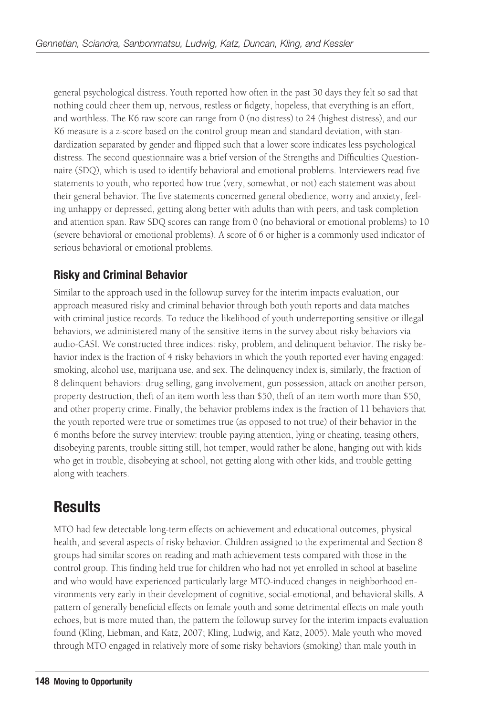general psychological distress. Youth reported how often in the past 30 days they felt so sad that nothing could cheer them up, nervous, restless or fidgety, hopeless, that everything is an effort, and worthless. The K6 raw score can range from 0 (no distress) to 24 (highest distress), and our K6 measure is a z-score based on the control group mean and standard deviation, with standardization separated by gender and flipped such that a lower score indicates less psychological distress. The second questionnaire was a brief version of the Strengths and Difficulties Questionnaire (SDQ), which is used to identify behavioral and emotional problems. Interviewers read five statements to youth, who reported how true (very, somewhat, or not) each statement was about their general behavior. The five statements concerned general obedience, worry and anxiety, feeling unhappy or depressed, getting along better with adults than with peers, and task completion and attention span. Raw SDQ scores can range from 0 (no behavioral or emotional problems) to 10 (severe behavioral or emotional problems). A score of 6 or higher is a commonly used indicator of serious behavioral or emotional problems.

### **Risky and Criminal Behavior**

Similar to the approach used in the followup survey for the interim impacts evaluation, our approach measured risky and criminal behavior through both youth reports and data matches with criminal justice records. To reduce the likelihood of youth underreporting sensitive or illegal behaviors, we administered many of the sensitive items in the survey about risky behaviors via audio-CASI. We constructed three indices: risky, problem, and delinquent behavior. The risky behavior index is the fraction of 4 risky behaviors in which the youth reported ever having engaged: smoking, alcohol use, marijuana use, and sex. The delinquency index is, similarly, the fraction of 8 delinquent behaviors: drug selling, gang involvement, gun possession, attack on another person, property destruction, theft of an item worth less than \$50, theft of an item worth more than \$50, and other property crime. Finally, the behavior problems index is the fraction of 11 behaviors that the youth reported were true or sometimes true (as opposed to not true) of their behavior in the 6 months before the survey interview: trouble paying attention, lying or cheating, teasing others, disobeying parents, trouble sitting still, hot temper, would rather be alone, hanging out with kids who get in trouble, disobeying at school, not getting along with other kids, and trouble getting along with teachers.

## **Results**

MTO had few detectable long-term effects on achievement and educational outcomes, physical health, and several aspects of risky behavior. Children assigned to the experimental and Section 8 groups had similar scores on reading and math achievement tests compared with those in the control group. This finding held true for children who had not yet enrolled in school at baseline and who would have experienced particularly large MTO-induced changes in neighborhood environments very early in their development of cognitive, social-emotional, and behavioral skills. A pattern of generally beneficial effects on female youth and some detrimental effects on male youth echoes, but is more muted than, the pattern the followup survey for the interim impacts evaluation found (Kling, Liebman, and Katz, 2007; Kling, Ludwig, and Katz, 2005). Male youth who moved through MTO engaged in relatively more of some risky behaviors (smoking) than male youth in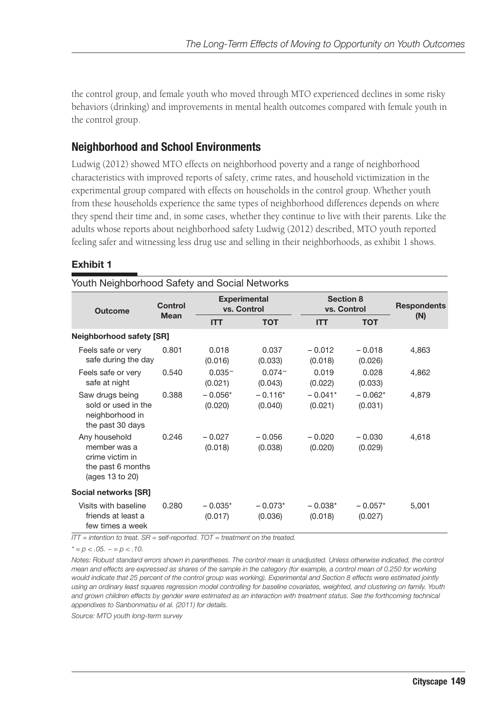the control group, and female youth who moved through MTO experienced declines in some risky behaviors (drinking) and improvements in mental health outcomes compared with female youth in the control group.

### **Neighborhood and School Environments**

Ludwig (2012) showed MTO effects on neighborhood poverty and a range of neighborhood characteristics with improved reports of safety, crime rates, and household victimization in the experimental group compared with effects on households in the control group. Whether youth from these households experience the same types of neighborhood differences depends on where they spend their time and, in some cases, whether they continue to live with their parents. Like the adults whose reports about neighborhood safety Ludwig (2012) described, MTO youth reported feeling safer and witnessing less drug use and selling in their neighborhoods, as exhibit 1 shows.

#### **Exhibit 1**

| Youth Neighborhood Safety and Social Networks                                            |             |                            |                                    |                          |                      |                    |
|------------------------------------------------------------------------------------------|-------------|----------------------------|------------------------------------|--------------------------|----------------------|--------------------|
| <b>Outcome</b>                                                                           | Control     |                            | <b>Experimental</b><br>vs. Control | Section 8<br>vs. Control |                      | <b>Respondents</b> |
|                                                                                          | <b>Mean</b> | <b>ITT</b>                 | <b>TOT</b>                         | <b>ITT</b>               | <b>TOT</b>           | (N)                |
| <b>Neighborhood safety [SR]</b>                                                          |             |                            |                                    |                          |                      |                    |
| Feels safe or very<br>safe during the day                                                | 0.801       | 0.018<br>(0.016)           | 0.037<br>(0.033)                   | $-0.012$<br>(0.018)      | $-0.018$<br>(0.026)  | 4,863              |
| Feels safe or very<br>safe at night                                                      | 0.540       | $0.035^{\circ}$<br>(0.021) | $0.074^{\circ}$<br>(0.043)         | 0.019<br>(0.022)         | 0.028<br>(0.033)     | 4,862              |
| Saw drugs being<br>sold or used in the<br>neighborhood in<br>the past 30 days            | 0.388       | $-0.056*$<br>(0.020)       | $-0.116*$<br>(0.040)               | $-0.041*$<br>(0.021)     | $-0.062*$<br>(0.031) | 4,879              |
| Any household<br>member was a<br>crime victim in<br>the past 6 months<br>(ages 13 to 20) | 0.246       | $-0.027$<br>(0.018)        | $-0.056$<br>(0.038)                | $-0.020$<br>(0.020)      | $-0.030$<br>(0.029)  | 4,618              |
| Social networks [SR]                                                                     |             |                            |                                    |                          |                      |                    |
| Visits with baseline<br>friends at least a<br>few times a week                           | 0.280       | $-0.035*$<br>(0.017)       | $-0.073*$<br>(0.036)               | $-0.038*$<br>(0.018)     | $-0.057*$<br>(0.027) | 5,001              |

*ITT = intention to treat. SR = self-reported. TOT = treatment on the treated.* 

 $* = p < .05. \sim p < .10.$ 

*Notes: Robust standard errors shown in parentheses. The control mean is unadjusted. Unless otherwise indicated, the control mean and effects are expressed as shares of the sample in the category (for example, a control mean of 0.250 for working would indicate that 25 percent of the control group was working). Experimental and Section 8 effects were estimated jointly using an ordinary least squares regression model controlling for baseline covariates, weighted, and clustering on family. Youth*  and grown children effects by gender were estimated as an interaction with treatment status. See the forthcoming technical *appendixes to Sanbonmatsu et al. (2011) for details.*

*Source: MTO youth long-term survey*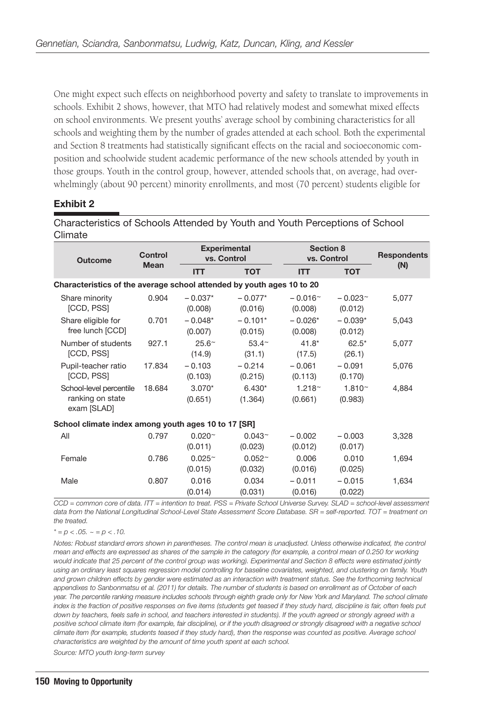One might expect such effects on neighborhood poverty and safety to translate to improvements in schools. Exhibit 2 shows, however, that MTO had relatively modest and somewhat mixed effects on school environments. We present youths' average school by combining characteristics for all schools and weighting them by the number of grades attended at each school. Both the experimental and Section 8 treatments had statistically significant effects on the racial and socioeconomic composition and schoolwide student academic performance of the new schools attended by youth in those groups. Youth in the control group, however, attended schools that, on average, had overwhelmingly (about 90 percent) minority enrollments, and most (70 percent) students eligible for

#### **Exhibit 2**

| סוווומנס                                                              |                |                          |                                    |                               |                                 |       |
|-----------------------------------------------------------------------|----------------|--------------------------|------------------------------------|-------------------------------|---------------------------------|-------|
| <b>Outcome</b>                                                        | <b>Control</b> |                          | <b>Experimental</b><br>vs. Control |                               | <b>Section 8</b><br>vs. Control |       |
|                                                                       | <b>Mean</b>    | <b>ITT</b>               | <b>TOT</b>                         | <b>ITT</b>                    | <b>TOT</b>                      | (N)   |
| Characteristics of the average school attended by youth ages 10 to 20 |                |                          |                                    |                               |                                 |       |
| Share minority<br>[CCD, PSS]                                          | 0.904          | $-0.037*$<br>(0.008)     | $-0.077*$<br>(0.016)               | $-0.016~$<br>(0.008)          | $-0.023~$<br>(0.012)            | 5,077 |
| Share eligible for<br>free lunch [CCD]                                | 0.701          | $-0.048*$<br>(0.007)     | $-0.101*$<br>(0.015)               | $-0.026*$<br>(0.008)          | $-0.039*$<br>(0.012)            | 5,043 |
| Number of students<br>[CCD, PSS]                                      | 927.1          | $25.6^{\circ}$<br>(14.9) | $53.4^{\sim}$<br>(31.1)            | $41.8*$<br>(17.5)             | $62.5*$<br>(26.1)               | 5,077 |
| Pupil-teacher ratio<br>[CCD, PSS]                                     | 17.834         | $-0.103$<br>(0.103)      | $-0.214$<br>(0.215)                | $-0.061$<br>(0.113)           | $-0.091$<br>(0.170)             | 5,076 |
| School-level percentile<br>ranking on state<br>exam [SLAD]            | 18.684         | $3.070*$<br>(0.651)      | $6.430*$<br>(1.364)                | 1.218 <sup>~</sup><br>(0.661) | $1.810 -$<br>(0.983)            | 4,884 |
| School climate index among youth ages 10 to 17 [SR]                   |                |                          |                                    |                               |                                 |       |
| All                                                                   | 0.797          | $0.020^{-}$<br>(0.011)   | $0.043^{\circ}$<br>(0.023)         | $-0.002$<br>(0.012)           | $-0.003$<br>(0.017)             | 3,328 |
| Female                                                                | 0.786          | $0.025 -$<br>(0.015)     | 0.052 <sup>~</sup><br>(0.032)      | 0.006<br>(0.016)              | 0.010<br>(0.025)                | 1,694 |
| Male                                                                  | 0.807          | 0.016<br>(0.014)         | 0.034<br>(0.031)                   | $-0.011$<br>(0.016)           | $-0.015$<br>(0.022)             | 1,634 |

Characteristics of Schools Attended by Youth and Youth Perceptions of School Climate

*CCD = common core of data. ITT = intention to treat. PSS = Private School Universe Survey. SLAD = school-level assessment data from the National Longitudinal School-Level State Assessment Score Database. SR = self-reported. TOT = treatment on the treated.*

*\* = p < .05. ~ = p < .10.* 

*Notes: Robust standard errors shown in parentheses. The control mean is unadjusted. Unless otherwise indicated, the control mean and effects are expressed as shares of the sample in the category (for example, a control mean of 0.250 for working would indicate that 25 percent of the control group was working). Experimental and Section 8 effects were estimated jointly using an ordinary least squares regression model controlling for baseline covariates, weighted, and clustering on family. Youth*  and grown children effects by gender were estimated as an interaction with treatment status. See the forthcoming technical *appendixes to Sanbonmatsu et al. (2011) for details. The number of students is based on enrollment as of October of each year. The percentile ranking measure includes schools through eighth grade only for New York and Maryland. The school climate index is the fraction of positive responses on five items (students get teased if they study hard, discipline is fair, often feels put*  down by teachers, feels safe in school, and teachers interested in students). If the youth agreed or strongly agreed with a *positive school climate item (for example, fair discipline), or if the youth disagreed or strongly disagreed with a negative school climate item (for example, students teased if they study hard), then the response was counted as positive. Average school characteristics are weighted by the amount of time youth spent at each school. Source: MTO youth long-term survey*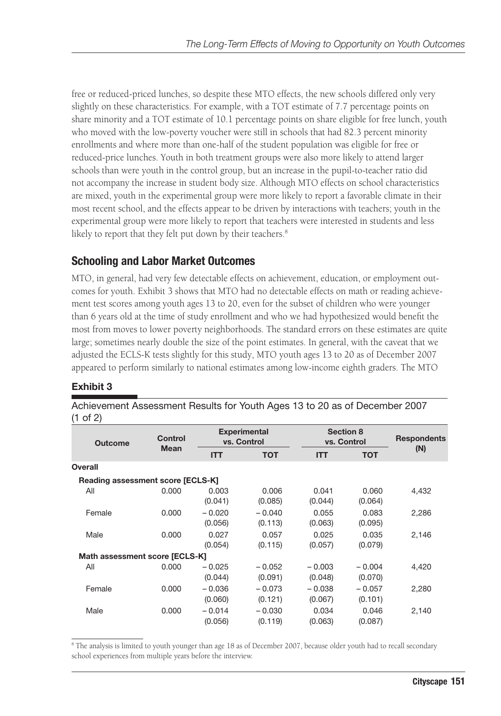free or reduced-priced lunches, so despite these MTO effects, the new schools differed only very slightly on these characteristics. For example, with a TOT estimate of 7.7 percentage points on share minority and a TOT estimate of 10.1 percentage points on share eligible for free lunch, youth who moved with the low-poverty voucher were still in schools that had 82.3 percent minority enrollments and where more than one-half of the student population was eligible for free or reduced-price lunches. Youth in both treatment groups were also more likely to attend larger schools than were youth in the control group, but an increase in the pupil-to-teacher ratio did not accompany the increase in student body size. Although MTO effects on school characteristics are mixed, youth in the experimental group were more likely to report a favorable climate in their most recent school, and the effects appear to be driven by interactions with teachers; youth in the experimental group were more likely to report that teachers were interested in students and less likely to report that they felt put down by their teachers.<sup>8</sup>

### **Schooling and Labor Market Outcomes**

MTO, in general, had very few detectable effects on achievement, education, or employment outcomes for youth. Exhibit 3 shows that MTO had no detectable effects on math or reading achievement test scores among youth ages 13 to 20, even for the subset of children who were younger than 6 years old at the time of study enrollment and who we had hypothesized would benefit the most from moves to lower poverty neighborhoods. The standard errors on these estimates are quite large; sometimes nearly double the size of the point estimates. In general, with the caveat that we adjusted the ECLS-K tests slightly for this study, MTO youth ages 13 to 20 as of December 2007 appeared to perform similarly to national estimates among low-income eighth graders. The MTO

#### **Exhibit 3**

| Control |                     | <b>Experimental</b><br>vs. Control                                  |                     | <b>Section 8</b><br>vs. Control |       |
|---------|---------------------|---------------------------------------------------------------------|---------------------|---------------------------------|-------|
|         | <b>ITT</b>          | <b>TOT</b>                                                          | <b>ITT</b>          | <b>TOT</b>                      | (N)   |
|         |                     |                                                                     |                     |                                 |       |
|         |                     |                                                                     |                     |                                 |       |
| 0.000   | 0.003<br>(0.041)    | 0.006<br>(0.085)                                                    | 0.041<br>(0.044)    | 0.060<br>(0.064)                | 4,432 |
| 0.000   | $-0.020$<br>(0.056) | $-0.040$<br>(0.113)                                                 | 0.055<br>(0.063)    | 0.083<br>(0.095)                | 2,286 |
| 0.000   | 0.027<br>(0.054)    | 0.057<br>(0.115)                                                    | 0.025<br>(0.057)    | 0.035<br>(0.079)                | 2,146 |
|         |                     |                                                                     |                     |                                 |       |
| 0.000   | $-0.025$<br>(0.044) | $-0.052$<br>(0.091)                                                 | $-0.003$<br>(0.048) | $-0.004$<br>(0.070)             | 4,420 |
| 0.000   | $-0.036$<br>(0.060) | $-0.073$<br>(0.121)                                                 | $-0.038$<br>(0.067) | $-0.057$<br>(0.101)             | 2,280 |
| 0.000   | $-0.014$<br>(0.056) | $-0.030$<br>(0.119)                                                 | 0.034<br>(0.063)    | 0.046<br>(0.087)                | 2,140 |
|         | <b>Mean</b>         | Reading assessment score [ECLS-K]<br>Math assessment score [ECLS-K] |                     |                                 |       |

Achievement Assessment Results for Youth Ages 13 to 20 as of December 2007  $(1 \text{ of } 2)$ 

<sup>8</sup> The analysis is limited to youth younger than age 18 as of December 2007, because older youth had to recall secondary school experiences from multiple years before the interview.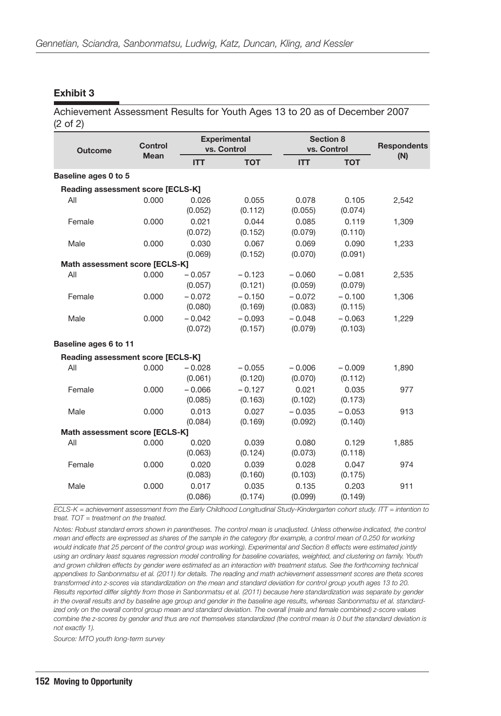#### **Exhibit 3**

Achievement Assessment Results for Youth Ages 13 to 20 as of December 2007 (2 of 2)

| <b>Outcome</b>                           | Control<br><b>Mean</b> |                  | <b>Experimental</b><br>vs. Control |                  | <b>Section 8</b><br>vs. Control |       |
|------------------------------------------|------------------------|------------------|------------------------------------|------------------|---------------------------------|-------|
|                                          |                        | <b>ITT</b>       | <b>TOT</b>                         | <b>ITT</b>       | <b>TOT</b>                      | (N)   |
| Baseline ages 0 to 5                     |                        |                  |                                    |                  |                                 |       |
| <b>Reading assessment score [ECLS-K]</b> |                        |                  |                                    |                  |                                 |       |
| All                                      | 0.000                  | 0.026            | 0.055                              | 0.078            | 0.105                           | 2,542 |
|                                          |                        | (0.052)          | (0.112)                            | (0.055)          | (0.074)                         |       |
| Female                                   | 0.000                  | 0.021            | 0.044                              | 0.085            | 0.119                           | 1,309 |
|                                          |                        | (0.072)          | (0.152)                            | (0.079)          | (0.110)                         |       |
| Male                                     | 0.000                  | 0.030<br>(0.069) | 0.067<br>(0.152)                   | 0.069<br>(0.070) | 0.090<br>(0.091)                | 1,233 |
| Math assessment score [ECLS-K]           |                        |                  |                                    |                  |                                 |       |
| All                                      | 0.000                  | $-0.057$         | $-0.123$                           | $-0.060$         | $-0.081$                        | 2,535 |
|                                          |                        | (0.057)          | (0.121)                            | (0.059)          | (0.079)                         |       |
| Female                                   | 0.000                  | $-0.072$         | $-0.150$                           | $-0.072$         | $-0.100$                        | 1,306 |
|                                          |                        | (0.080)          | (0.169)                            | (0.083)          | (0.115)                         |       |
| Male                                     | 0.000                  | $-0.042$         | $-0.093$                           | $-0.048$         | $-0.063$                        | 1,229 |
|                                          |                        | (0.072)          | (0.157)                            | (0.079)          | (0.103)                         |       |
| Baseline ages 6 to 11                    |                        |                  |                                    |                  |                                 |       |
| Reading assessment score [ECLS-K]        |                        |                  |                                    |                  |                                 |       |
| All                                      | 0.000                  | $-0.028$         | $-0.055$                           | $-0.006$         | $-0.009$                        | 1,890 |
|                                          |                        | (0.061)          | (0.120)                            | (0.070)          | (0.112)                         |       |
| Female                                   | 0.000                  | $-0.066$         | $-0.127$                           | 0.021            | 0.035                           | 977   |
|                                          |                        | (0.085)          | (0.163)                            | (0.102)          | (0.173)                         |       |
| Male                                     | 0.000                  | 0.013            | 0.027                              | $-0.035$         | $-0.053$                        | 913   |
|                                          |                        | (0.084)          | (0.169)                            | (0.092)          | (0.140)                         |       |
| Math assessment score [ECLS-K]           |                        |                  |                                    |                  |                                 |       |
| All                                      | 0.000                  | 0.020            | 0.039                              | 0.080            | 0.129                           | 1,885 |
|                                          |                        | (0.063)          | (0.124)                            | (0.073)          | (0.118)                         |       |
| Female                                   | 0.000                  | 0.020            | 0.039                              | 0.028            | 0.047                           | 974   |
|                                          |                        | (0.083)          | (0.160)                            | (0.103)          | (0.175)                         |       |
| Male                                     | 0.000                  | 0.017            | 0.035                              | 0.135            | 0.203                           | 911   |
|                                          |                        | (0.086)          | (0.174)                            | (0.099)          | (0.149)                         |       |

*ECLS-K = achievement assessment from the Early Childhood Longitudinal Study-Kindergarten cohort study. ITT = intention to treat. TOT = treatment on the treated.*

*Notes: Robust standard errors shown in parentheses. The control mean is unadjusted. Unless otherwise indicated, the control mean and effects are expressed as shares of the sample in the category (for example, a control mean of 0.250 for working would indicate that 25 percent of the control group was working). Experimental and Section 8 effects were estimated jointly using an ordinary least squares regression model controlling for baseline covariates, weighted, and clustering on family. Youth*  and grown children effects by gender were estimated as an interaction with treatment status. See the forthcoming technical appendixes to Sanbonmatsu et al. (2011) for details. The reading and math achievement assessment scores are theta scores transformed into z-scores via standardization on the mean and standard deviation for control group youth ages 13 to 20. *Results reported differ slightly from those in Sanbonmatsu et al. (2011) because here standardization was separate by gender in the overall results and by baseline age group and gender in the baseline age results, whereas Sanbonmatsu et al. standardized only on the overall control group mean and standard deviation. The overall (male and female combined) z-score values combine the z-scores by gender and thus are not themselves standardized (the control mean is 0 but the standard deviation is not exactly 1).*

*Source: MTO youth long-term survey*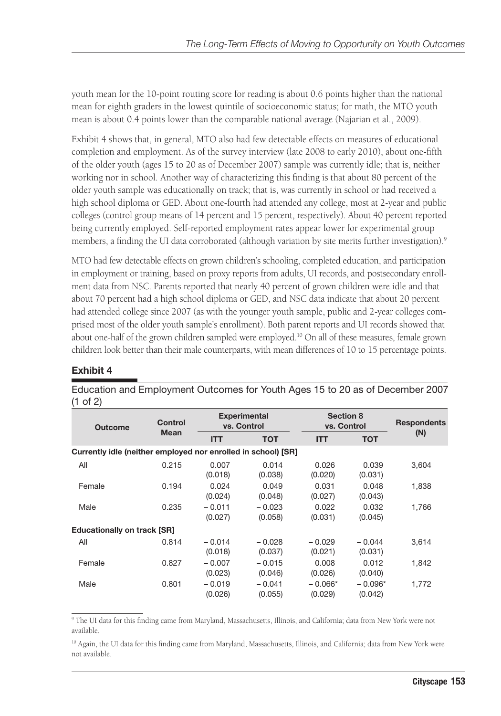youth mean for the 10-point routing score for reading is about 0.6 points higher than the national mean for eighth graders in the lowest quintile of socioeconomic status; for math, the MTO youth mean is about 0.4 points lower than the comparable national average (Najarian et al., 2009).

Exhibit 4 shows that, in general, MTO also had few detectable effects on measures of educational completion and employment. As of the survey interview (late 2008 to early 2010), about one-fifth of the older youth (ages 15 to 20 as of December 2007) sample was currently idle; that is, neither working nor in school. Another way of characterizing this finding is that about 80 percent of the older youth sample was educationally on track; that is, was currently in school or had received a high school diploma or GED. About one-fourth had attended any college, most at 2-year and public colleges (control group means of 14 percent and 15 percent, respectively). About 40 percent reported being currently employed. Self-reported employment rates appear lower for experimental group members, a finding the UI data corroborated (although variation by site merits further investigation).<sup>9</sup>

MTO had few detectable effects on grown children's schooling, completed education, and participation in employment or training, based on proxy reports from adults, UI records, and postsecondary enrollment data from NSC. Parents reported that nearly 40 percent of grown children were idle and that about 70 percent had a high school diploma or GED, and NSC data indicate that about 20 percent had attended college since 2007 (as with the younger youth sample, public and 2-year colleges comprised most of the older youth sample's enrollment). Both parent reports and UI records showed that about one-half of the grown children sampled were employed.<sup>10</sup> On all of these measures, female grown children look better than their male counterparts, with mean differences of 10 to 15 percentage points.

#### **Exhibit 4**

| <b>Outcome</b>                                                | Control     |                     | <b>Experimental</b><br>vs. Control |                      | <b>Section 8</b><br>vs. Control |       |
|---------------------------------------------------------------|-------------|---------------------|------------------------------------|----------------------|---------------------------------|-------|
|                                                               | <b>Mean</b> | <b>ITT</b>          | <b>TOT</b>                         | <b>ITT</b>           | <b>TOT</b>                      | (N)   |
| Currently idle (neither employed nor enrolled in school) [SR] |             |                     |                                    |                      |                                 |       |
| All                                                           | 0.215       | 0.007<br>(0.018)    | 0.014<br>(0.038)                   | 0.026<br>(0.020)     | 0.039<br>(0.031)                | 3,604 |
| Female                                                        | 0.194       | 0.024<br>(0.024)    | 0.049<br>(0.048)                   | 0.031<br>(0.027)     | 0.048<br>(0.043)                | 1,838 |
| Male                                                          | 0.235       | $-0.011$<br>(0.027) | $-0.023$<br>(0.058)                | 0.022<br>(0.031)     | 0.032<br>(0.045)                | 1.766 |
| <b>Educationally on track [SR]</b>                            |             |                     |                                    |                      |                                 |       |
| All                                                           | 0.814       | $-0.014$<br>(0.018) | $-0.028$<br>(0.037)                | $-0.029$<br>(0.021)  | $-0.044$<br>(0.031)             | 3,614 |
| Female                                                        | 0.827       | $-0.007$<br>(0.023) | $-0.015$<br>(0.046)                | 0.008<br>(0.026)     | 0.012<br>(0.040)                | 1,842 |
| Male                                                          | 0.801       | $-0.019$<br>(0.026) | $-0.041$<br>(0.055)                | $-0.066*$<br>(0.029) | $-0.096*$<br>(0.042)            | 1,772 |

Education and Employment Outcomes for Youth Ages 15 to 20 as of December 2007 (1 of 2)

9 The UI data for this finding came from Maryland, Massachusetts, Illinois, and California; data from New York were not available.

<sup>&</sup>lt;sup>10</sup> Again, the UI data for this finding came from Maryland, Massachusetts, Illinois, and California; data from New York were not available.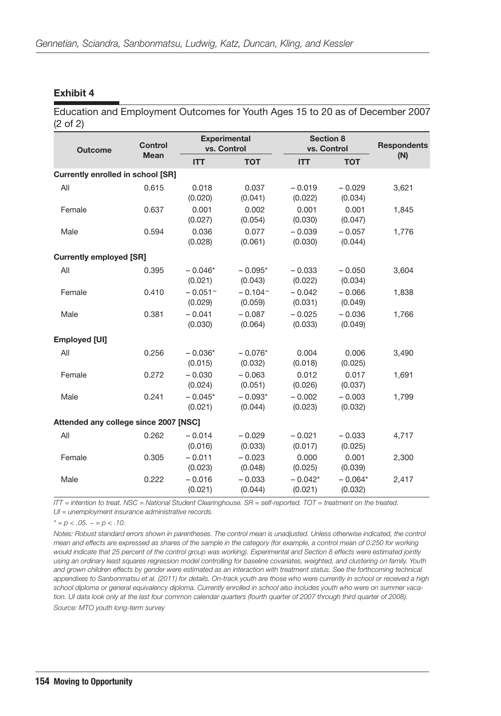#### **Exhibit 4**

Education and Employment Outcomes for Youth Ages 15 to 20 as of December 2007 (2 of 2)

| <b>Outcome</b>                           | <b>Control</b> |                                  | <b>Experimental</b><br>vs. Control |                      | <b>Section 8</b><br>vs. Control |       |
|------------------------------------------|----------------|----------------------------------|------------------------------------|----------------------|---------------------------------|-------|
|                                          | <b>Mean</b>    | <b>ITT</b>                       | <b>TOT</b>                         | <b>ITT</b>           | <b>TOT</b>                      | (N)   |
| <b>Currently enrolled in school [SR]</b> |                |                                  |                                    |                      |                                 |       |
| All                                      | 0.615          | 0.018<br>(0.020)                 | 0.037<br>(0.041)                   | $-0.019$<br>(0.022)  | $-0.029$<br>(0.034)             | 3,621 |
| Female                                   | 0.637          | 0.001<br>(0.027)                 | 0.002<br>(0.054)                   | 0.001<br>(0.030)     | 0.001<br>(0.047)                | 1,845 |
| Male                                     | 0.594          | 0.036<br>(0.028)                 | 0.077<br>(0.061)                   | $-0.039$<br>(0.030)  | $-0.057$<br>(0.044)             | 1,776 |
| <b>Currently employed [SR]</b>           |                |                                  |                                    |                      |                                 |       |
| All                                      | 0.395          | $-0.046*$<br>(0.021)             | $-0.095*$<br>(0.043)               | $-0.033$<br>(0.022)  | $-0.050$<br>(0.034)             | 3,604 |
| Female                                   | 0.410          | $-0.051$ <sup>~</sup><br>(0.029) | $-0.104$ <sup>~</sup><br>(0.059)   | $-0.042$<br>(0.031)  | $-0.066$<br>(0.049)             | 1,838 |
| Male                                     | 0.381          | $-0.041$<br>(0.030)              | $-0.087$<br>(0.064)                | $-0.025$<br>(0.033)  | $-0.036$<br>(0.049)             | 1,766 |
| Employed [UI]                            |                |                                  |                                    |                      |                                 |       |
| All                                      | 0.256          | $-0.036*$<br>(0.015)             | $-0.076*$<br>(0.032)               | 0.004<br>(0.018)     | 0.006<br>(0.025)                | 3,490 |
| Female                                   | 0.272          | $-0.030$<br>(0.024)              | $-0.063$<br>(0.051)                | 0.012<br>(0.026)     | 0.017<br>(0.037)                | 1,691 |
| Male                                     | 0.241          | $-0.045*$<br>(0.021)             | $-0.093*$<br>(0.044)               | $-0.002$<br>(0.023)  | $-0.003$<br>(0.032)             | 1,799 |
| Attended any college since 2007 [NSC]    |                |                                  |                                    |                      |                                 |       |
| All                                      | 0.262          | $-0.014$<br>(0.016)              | $-0.029$<br>(0.033)                | $-0.021$<br>(0.017)  | $-0.033$<br>(0.025)             | 4,717 |
| Female                                   | 0.305          | $-0.011$<br>(0.023)              | $-0.023$<br>(0.048)                | 0.000<br>(0.025)     | 0.001<br>(0.039)                | 2,300 |
| Male                                     | 0.222          | $-0.016$<br>(0.021)              | $-0.033$<br>(0.044)                | $-0.042*$<br>(0.021) | $-0.064*$<br>(0.032)            | 2,417 |

*ITT = intention to treat. NSC = National Student Clearinghouse. SR = self-reported. TOT = treatment on the treated.* 

*UI = unemployment insurance administrative records.*

 $* = p < .05. \sim p < .10.$ 

*Notes: Robust standard errors shown in parentheses. The control mean is unadjusted. Unless otherwise indicated, the control mean and effects are expressed as shares of the sample in the category (for example, a control mean of 0.250 for working would indicate that 25 percent of the control group was working). Experimental and Section 8 effects were estimated jointly using an ordinary least squares regression model controlling for baseline covariates, weighted, and clustering on family. Youth and grown children effects by gender were estimated as an interaction with treatment status. See the forthcoming technical appendixes to Sanbonmatsu et al. (2011) for details. On-track youth are those who were currently in school or received a high school diploma or general equivalency diploma. Currently enrolled in school also includes youth who were on summer vacation. UI data look only at the last four common calendar quarters (fourth quarter of 2007 through third quarter of 2008). Source: MTO youth long-term survey*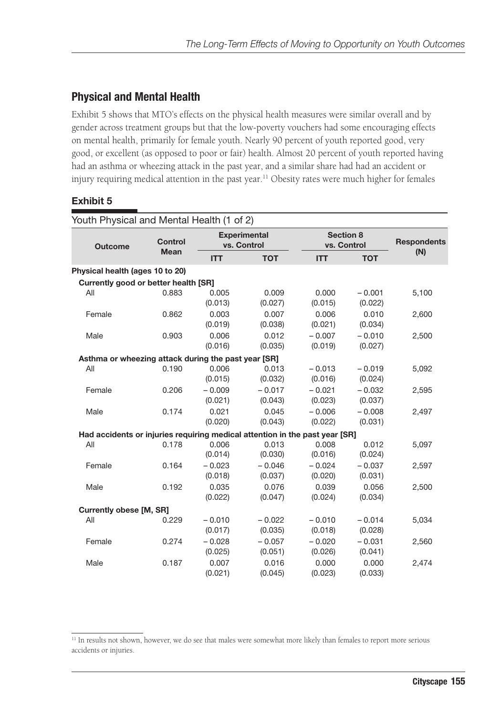## **Physical and Mental Health**

Exhibit 5 shows that MTO's effects on the physical health measures were similar overall and by gender across treatment groups but that the low-poverty vouchers had some encouraging effects on mental health, primarily for female youth. Nearly 90 percent of youth reported good, very good, or excellent (as opposed to poor or fair) health. Almost 20 percent of youth reported having had an asthma or wheezing attack in the past year, and a similar share had had an accident or injury requiring medical attention in the past year.<sup>11</sup> Obesity rates were much higher for females

#### **Exhibit 5**

| Youth Physical and Mental Health (1 of 2)                                   |                |                     |                                    |                     |                     |                    |
|-----------------------------------------------------------------------------|----------------|---------------------|------------------------------------|---------------------|---------------------|--------------------|
| <b>Outcome</b>                                                              | <b>Control</b> |                     | <b>Experimental</b><br>vs. Control | vs. Control         | Section 8           | <b>Respondents</b> |
|                                                                             | <b>Mean</b>    | <b>ITT</b>          | <b>TOT</b>                         | <b>ITT</b>          | <b>TOT</b>          | (N)                |
| Physical health (ages 10 to 20)                                             |                |                     |                                    |                     |                     |                    |
| Currently good or better health [SR]                                        |                |                     |                                    |                     |                     |                    |
| All                                                                         | 0.883          | 0.005<br>(0.013)    | 0.009<br>(0.027)                   | 0.000<br>(0.015)    | $-0.001$<br>(0.022) | 5,100              |
| Female                                                                      | 0.862          | 0.003<br>(0.019)    | 0.007<br>(0.038)                   | 0.006<br>(0.021)    | 0.010<br>(0.034)    | 2,600              |
| Male                                                                        | 0.903          | 0.006<br>(0.016)    | 0.012<br>(0.035)                   | $-0.007$<br>(0.019) | $-0.010$<br>(0.027) | 2,500              |
| Asthma or wheezing attack during the past year [SR]                         |                |                     |                                    |                     |                     |                    |
| All                                                                         | 0.190          | 0.006<br>(0.015)    | 0.013<br>(0.032)                   | $-0.013$<br>(0.016) | $-0.019$<br>(0.024) | 5,092              |
| Female                                                                      | 0.206          | $-0.009$<br>(0.021) | $-0.017$<br>(0.043)                | $-0.021$<br>(0.023) | $-0.032$<br>(0.037) | 2,595              |
| Male                                                                        | 0.174          | 0.021<br>(0.020)    | 0.045<br>(0.043)                   | $-0.006$<br>(0.022) | $-0.008$<br>(0.031) | 2,497              |
| Had accidents or injuries requiring medical attention in the past year [SR] |                |                     |                                    |                     |                     |                    |
| All                                                                         | 0.178          | 0.006<br>(0.014)    | 0.013<br>(0.030)                   | 0.008<br>(0.016)    | 0.012<br>(0.024)    | 5,097              |
| Female                                                                      | 0.164          | $-0.023$<br>(0.018) | $-0.046$<br>(0.037)                | $-0.024$<br>(0.020) | $-0.037$<br>(0.031) | 2,597              |
| Male                                                                        | 0.192          | 0.035<br>(0.022)    | 0.076<br>(0.047)                   | 0.039<br>(0.024)    | 0.056<br>(0.034)    | 2,500              |
| <b>Currently obese [M, SR]</b>                                              |                |                     |                                    |                     |                     |                    |
| All                                                                         | 0.229          | $-0.010$<br>(0.017) | $-0.022$<br>(0.035)                | $-0.010$<br>(0.018) | $-0.014$<br>(0.028) | 5,034              |
| Female                                                                      | 0.274          | $-0.028$<br>(0.025) | $-0.057$<br>(0.051)                | $-0.020$<br>(0.026) | $-0.031$<br>(0.041) | 2,560              |
| Male                                                                        | 0.187          | 0.007<br>(0.021)    | 0.016<br>(0.045)                   | 0.000<br>(0.023)    | 0.000<br>(0.033)    | 2,474              |

<sup>&</sup>lt;sup>11</sup> In results not shown, however, we do see that males were somewhat more likely than females to report more serious accidents or injuries.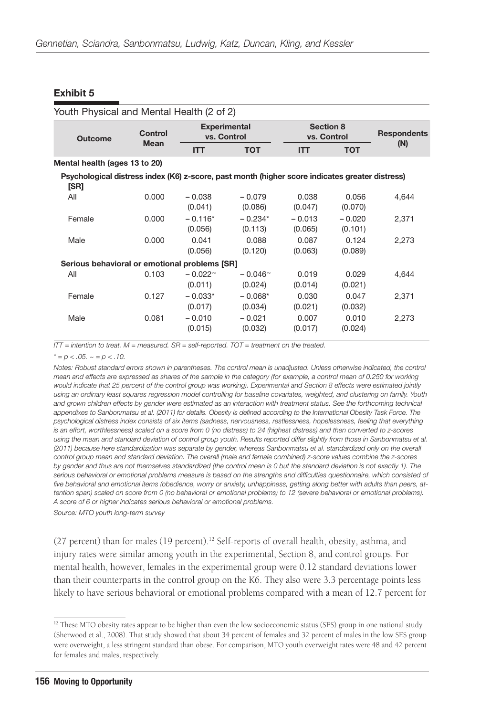#### **Exhibit 5**

| Youth Physical and Mental Health (2 of 2)                                                               |             |                                    |                             |                                 |                     |                    |
|---------------------------------------------------------------------------------------------------------|-------------|------------------------------------|-----------------------------|---------------------------------|---------------------|--------------------|
| <b>Outcome</b>                                                                                          | Control     | <b>Experimental</b><br>vs. Control |                             | <b>Section 8</b><br>vs. Control |                     | <b>Respondents</b> |
|                                                                                                         | <b>Mean</b> | <b>ITT</b>                         | <b>TOT</b>                  | <b>ITT</b>                      | <b>TOT</b>          | (N)                |
| Mental health (ages 13 to 20)                                                                           |             |                                    |                             |                                 |                     |                    |
| Psychological distress index (K6) z-score, past month (higher score indicates greater distress)<br>[SR] |             |                                    |                             |                                 |                     |                    |
| All                                                                                                     | 0.000       | $-0.038$<br>(0.041)                | $-0.079$<br>(0.086)         | 0.038<br>(0.047)                | 0.056<br>(0.070)    | 4,644              |
| Female                                                                                                  | 0.000       | $-0.116*$<br>(0.056)               | $-0.234*$<br>(0.113)        | $-0.013$<br>(0.065)             | $-0.020$<br>(0.101) | 2,371              |
| Male                                                                                                    | 0.000       | 0.041<br>(0.056)                   | 0.088<br>(0.120)            | 0.087<br>(0.063)                | 0.124<br>(0.089)    | 2,273              |
| Serious behavioral or emotional problems [SR]                                                           |             |                                    |                             |                                 |                     |                    |
| All                                                                                                     | 0.103       | $-0.022$ <sup>~</sup><br>(0.011)   | $-0.046^{\circ}$<br>(0.024) | 0.019<br>(0.014)                | 0.029<br>(0.021)    | 4,644              |
| Female                                                                                                  | 0.127       | $-0.033*$<br>(0.017)               | $-0.068*$<br>(0.034)        | 0.030<br>(0.021)                | 0.047<br>(0.032)    | 2,371              |
| Male                                                                                                    | 0.081       | $-0.010$<br>(0.015)                | $-0.021$<br>(0.032)         | 0.007<br>(0.017)                | 0.010<br>(0.024)    | 2,273              |

*ITT = intention to treat. M = measured. SR = self-reported. TOT = treatment on the treated.*

 $x^* = p < .05$ .  $\approx p = p < .10$ .

*Notes: Robust standard errors shown in parentheses. The control mean is unadjusted. Unless otherwise indicated, the control mean and effects are expressed as shares of the sample in the category (for example, a control mean of 0.250 for working would indicate that 25 percent of the control group was working). Experimental and Section 8 effects were estimated jointly using an ordinary least squares regression model controlling for baseline covariates, weighted, and clustering on family. Youth and grown children effects by gender were estimated as an interaction with treatment status. See the forthcoming technical appendixes to Sanbonmatsu et al. (2011) for details. Obesity is defined according to the International Obesity Task Force. The psychological distress index consists of six items (sadness, nervousness, restlessness, hopelessness, feeling that everything is an effort, worthlessness) scaled on a score from 0 (no distress) to 24 (highest distress) and then converted to z-scores*  using the mean and standard deviation of control group youth. Results reported differ slightly from those in Sanbonmatsu et al. *(2011) because here standardization was separate by gender, whereas Sanbonmatsu et al. standardized only on the overall control group mean and standard deviation. The overall (male and female combined) z-score values combine the z-scores by gender and thus are not themselves standardized (the control mean is 0 but the standard deviation is not exactly 1). The*  serious behavioral or emotional problems measure is based on the strengths and difficulties questionnaire, which consisted of *five behavioral and emotional items (obedience, worry or anxiety, unhappiness, getting along better with adults than peers, attention span) scaled on score from 0 (no behavioral or emotional problems) to 12 (severe behavioral or emotional problems). A score of 6 or higher indicates serious behavioral or emotional problems.*

*Source: MTO youth long-term survey*

(27 percent) than for males (19 percent).<sup>12</sup> Self-reports of overall health, obesity, asthma, and injury rates were similar among youth in the experimental, Section 8, and control groups. For mental health, however, females in the experimental group were 0.12 standard deviations lower than their counterparts in the control group on the K6. They also were 3.3 percentage points less likely to have serious behavioral or emotional problems compared with a mean of 12.7 percent for

<sup>&</sup>lt;sup>12</sup> These MTO obesity rates appear to be higher than even the low socioeconomic status (SES) group in one national study (Sherwood et al., 2008). That study showed that about 34 percent of females and 32 percent of males in the low SES group were overweight, a less stringent standard than obese. For comparison, MTO youth overweight rates were 48 and 42 percent for females and males, respectively.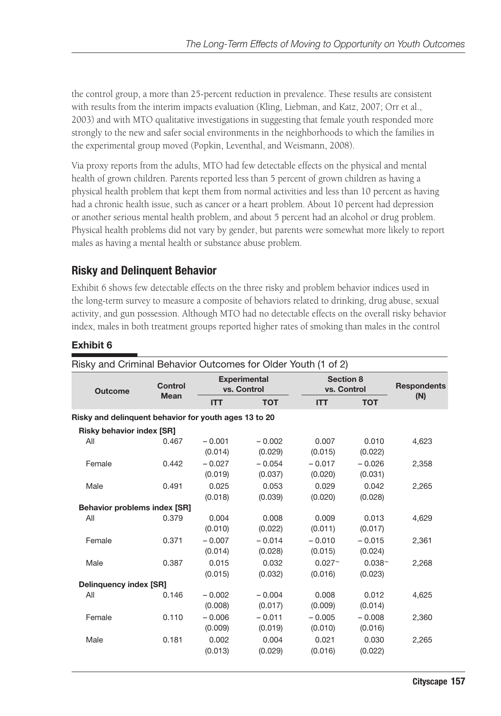the control group, a more than 25-percent reduction in prevalence. These results are consistent with results from the interim impacts evaluation (Kling, Liebman, and Katz, 2007; Orr et al., 2003) and with MTO qualitative investigations in suggesting that female youth responded more strongly to the new and safer social environments in the neighborhoods to which the families in the experimental group moved (Popkin, Leventhal, and Weismann, 2008).

Via proxy reports from the adults, MTO had few detectable effects on the physical and mental health of grown children. Parents reported less than 5 percent of grown children as having a physical health problem that kept them from normal activities and less than 10 percent as having had a chronic health issue, such as cancer or a heart problem. About 10 percent had depression or another serious mental health problem, and about 5 percent had an alcohol or drug problem. Physical health problems did not vary by gender, but parents were somewhat more likely to report males as having a mental health or substance abuse problem.

## **Risky and Delinquent Behavior**

Exhibit 6 shows few detectable effects on the three risky and problem behavior indices used in the long-term survey to measure a composite of behaviors related to drinking, drug abuse, sexual activity, and gun possession. Although MTO had no detectable effects on the overall risky behavior index, males in both treatment groups reported higher rates of smoking than males in the control

#### **Exhibit 6**

| Risky and Criminal Behavior Outcomes for Older Youth (1 of 2) |                |                     |                                    |                          |                      |                    |
|---------------------------------------------------------------|----------------|---------------------|------------------------------------|--------------------------|----------------------|--------------------|
| <b>Outcome</b>                                                | <b>Control</b> |                     | <b>Experimental</b><br>vs. Control | Section 8<br>vs. Control |                      | <b>Respondents</b> |
|                                                               | <b>Mean</b>    | <b>ITT</b>          | <b>TOT</b>                         | <b>ITT</b>               | <b>TOT</b>           | (N)                |
| Risky and delinguent behavior for youth ages 13 to 20         |                |                     |                                    |                          |                      |                    |
| <b>Risky behavior index [SR]</b>                              |                |                     |                                    |                          |                      |                    |
| All                                                           | 0.467          | $-0.001$<br>(0.014) | $-0.002$<br>(0.029)                | 0.007<br>(0.015)         | 0.010<br>(0.022)     | 4,623              |
| Female                                                        | 0.442          | $-0.027$<br>(0.019) | $-0.054$<br>(0.037)                | $-0.017$<br>(0.020)      | $-0.026$<br>(0.031)  | 2,358              |
| Male                                                          | 0.491          | 0.025<br>(0.018)    | 0.053<br>(0.039)                   | 0.029<br>(0.020)         | 0.042<br>(0.028)     | 2,265              |
| <b>Behavior problems index [SR]</b>                           |                |                     |                                    |                          |                      |                    |
| All                                                           | 0.379          | 0.004<br>(0.010)    | 0.008<br>(0.022)                   | 0.009<br>(0.011)         | 0.013<br>(0.017)     | 4,629              |
| Female                                                        | 0.371          | $-0.007$<br>(0.014) | $-0.014$<br>(0.028)                | $-0.010$<br>(0.015)      | $-0.015$<br>(0.024)  | 2,361              |
| Male                                                          | 0.387          | 0.015<br>(0.015)    | 0.032<br>(0.032)                   | $0.027 -$<br>(0.016)     | $0.038 -$<br>(0.023) | 2,268              |
| <b>Delinquency index [SR]</b>                                 |                |                     |                                    |                          |                      |                    |
| All                                                           | 0.146          | $-0.002$<br>(0.008) | $-0.004$<br>(0.017)                | 0.008<br>(0.009)         | 0.012<br>(0.014)     | 4,625              |
| Female                                                        | 0.110          | $-0.006$<br>(0.009) | $-0.011$<br>(0.019)                | $-0.005$<br>(0.010)      | $-0.008$<br>(0.016)  | 2.360              |
| Male                                                          | 0.181          | 0.002<br>(0.013)    | 0.004<br>(0.029)                   | 0.021<br>(0.016)         | 0.030<br>(0.022)     | 2,265              |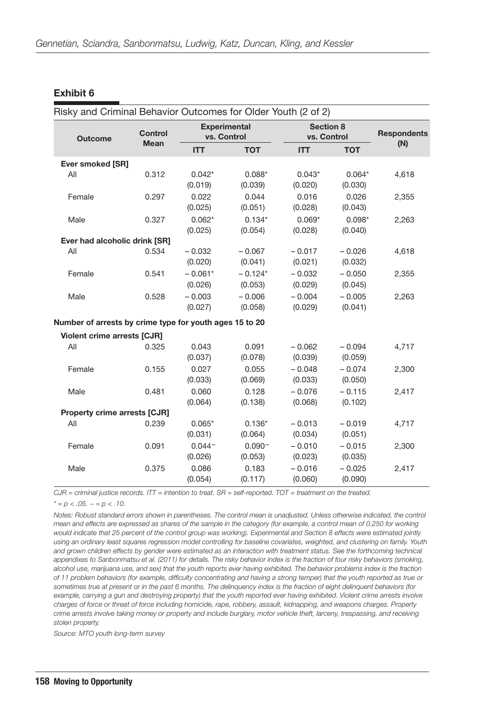#### **Exhibit 6**

| Risky and Criminal Behavior Outcomes for Older Youth (2 of 2) |                |                           |                      |                                 |                     |                    |
|---------------------------------------------------------------|----------------|---------------------------|----------------------|---------------------------------|---------------------|--------------------|
| <b>Outcome</b>                                                | <b>Control</b> | vs. Control               | <b>Experimental</b>  | <b>Section 8</b><br>vs. Control |                     | <b>Respondents</b> |
|                                                               | <b>Mean</b>    | <b>ITT</b>                | <b>TOT</b>           | <b>ITT</b>                      | <b>TOT</b>          | (N)                |
| Ever smoked [SR]                                              |                |                           |                      |                                 |                     |                    |
| All                                                           | 0.312          | $0.042*$<br>(0.019)       | $0.088*$<br>(0.039)  | $0.043*$<br>(0.020)             | $0.064*$<br>(0.030) | 4,618              |
| Female                                                        | 0.297          | 0.022<br>(0.025)          | 0.044<br>(0.051)     | 0.016<br>(0.028)                | 0.026<br>(0.043)    | 2,355              |
| Male                                                          | 0.327          | $0.062*$<br>(0.025)       | $0.134*$<br>(0.054)  | $0.069*$<br>(0.028)             | $0.098*$<br>(0.040) | 2,263              |
| Ever had alcoholic drink [SR]                                 |                |                           |                      |                                 |                     |                    |
| All                                                           | 0.534          | $-0.032$<br>(0.020)       | $-0.067$<br>(0.041)  | $-0.017$<br>(0.021)             | $-0.026$<br>(0.032) | 4,618              |
| Female                                                        | 0.541          | $-0.061*$<br>(0.026)      | $-0.124*$<br>(0.053) | $-0.032$<br>(0.029)             | $-0.050$<br>(0.045) | 2,355              |
| Male                                                          | 0.528          | $-0.003$<br>(0.027)       | $-0.006$<br>(0.058)  | $-0.004$<br>(0.029)             | $-0.005$<br>(0.041) | 2,263              |
| Number of arrests by crime type for youth ages 15 to 20       |                |                           |                      |                                 |                     |                    |
| <b>Violent crime arrests [CJR]</b>                            |                |                           |                      |                                 |                     |                    |
| All                                                           | 0.325          | 0.043<br>(0.037)          | 0.091<br>(0.078)     | $-0.062$<br>(0.039)             | $-0.094$<br>(0.059) | 4,717              |
| Female                                                        | 0.155          | 0.027<br>(0.033)          | 0.055<br>(0.069)     | $-0.048$<br>(0.033)             | $-0.074$<br>(0.050) | 2,300              |
| Male                                                          | 0.481          | 0.060<br>(0.064)          | 0.128<br>(0.138)     | $-0.076$<br>(0.068)             | $-0.115$<br>(0.102) | 2,417              |
| <b>Property crime arrests [CJR]</b>                           |                |                           |                      |                                 |                     |                    |
| All                                                           | 0.239          | $0.065*$<br>(0.031)       | $0.136*$<br>(0.064)  | $-0.013$<br>(0.034)             | $-0.019$<br>(0.051) | 4,717              |
| Female                                                        | 0.091          | $0.044^{\sim}$<br>(0.026) | $0.090 -$<br>(0.053) | $-0.010$<br>(0.023)             | $-0.015$<br>(0.035) | 2,300              |
| Male                                                          | 0.375          | 0.086<br>(0.054)          | 0.183<br>(0.117)     | $-0.016$<br>(0.060)             | $-0.025$<br>(0.090) | 2,417              |

*CJR = criminal justice records. ITT = intention to treat. SR = self-reported. TOT = treatment on the treated.*

 $* = p < .05. \sim p < .10.$ 

*Notes: Robust standard errors shown in parentheses. The control mean is unadjusted. Unless otherwise indicated, the control mean and effects are expressed as shares of the sample in the category (for example, a control mean of 0.250 for working would indicate that 25 percent of the control group was working). Experimental and Section 8 effects were estimated jointly using an ordinary least squares regression model controlling for baseline covariates, weighted, and clustering on family. Youth*  and grown children effects by gender were estimated as an interaction with treatment status. See the forthcoming technical *appendixes to Sanbonmatsu et al. (2011) for details. The risky behavior index is the fraction of four risky behaviors (smoking, alcohol use, marijuana use, and sex) that the youth reports ever having exhibited. The behavior problems index is the fraction of 11 problem behaviors (for example, difficulty concentrating and having a strong temper) that the youth reported as true or sometimes true at present or in the past 6 months. The delinquency index is the fraction of eight delinquent behaviors (for example, carrying a gun and destroying property) that the youth reported ever having exhibited. Violent crime arrests involve charges of force or threat of force including homicide, rape, robbery, assault, kidnapping, and weapons charges. Property crime arrests involve taking money or property and include burglary, motor vehicle theft, larceny, trespassing, and receiving stolen property.*

*Source: MTO youth long-term survey*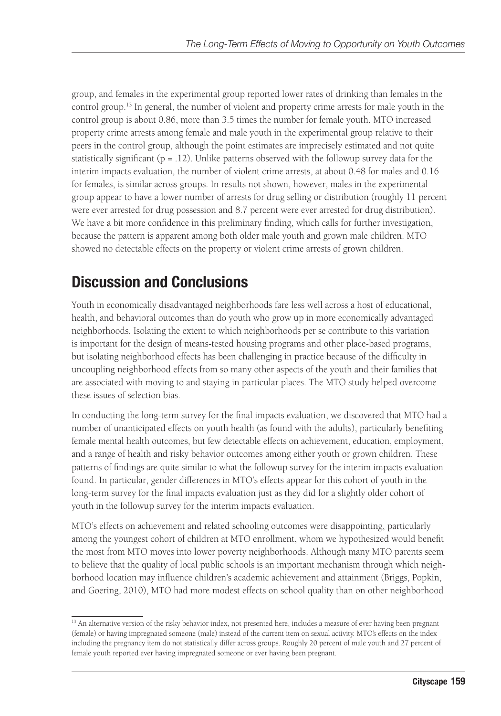group, and females in the experimental group reported lower rates of drinking than females in the control group.13 In general, the number of violent and property crime arrests for male youth in the control group is about 0.86, more than 3.5 times the number for female youth. MTO increased property crime arrests among female and male youth in the experimental group relative to their peers in the control group, although the point estimates are imprecisely estimated and not quite statistically significant  $(p = .12)$ . Unlike patterns observed with the followup survey data for the interim impacts evaluation, the number of violent crime arrests, at about 0.48 for males and 0.16 for females, is similar across groups. In results not shown, however, males in the experimental group appear to have a lower number of arrests for drug selling or distribution (roughly 11 percent were ever arrested for drug possession and 8.7 percent were ever arrested for drug distribution). We have a bit more confidence in this preliminary finding, which calls for further investigation, because the pattern is apparent among both older male youth and grown male children. MTO showed no detectable effects on the property or violent crime arrests of grown children.

## **Discussion and Conclusions**

Youth in economically disadvantaged neighborhoods fare less well across a host of educational, health, and behavioral outcomes than do youth who grow up in more economically advantaged neighborhoods. Isolating the extent to which neighborhoods per se contribute to this variation is important for the design of means-tested housing programs and other place-based programs, but isolating neighborhood effects has been challenging in practice because of the difficulty in uncoupling neighborhood effects from so many other aspects of the youth and their families that are associated with moving to and staying in particular places. The MTO study helped overcome these issues of selection bias.

In conducting the long-term survey for the final impacts evaluation, we discovered that MTO had a number of unanticipated effects on youth health (as found with the adults), particularly benefiting female mental health outcomes, but few detectable effects on achievement, education, employment, and a range of health and risky behavior outcomes among either youth or grown children. These patterns of findings are quite similar to what the followup survey for the interim impacts evaluation found. In particular, gender differences in MTO's effects appear for this cohort of youth in the long-term survey for the final impacts evaluation just as they did for a slightly older cohort of youth in the followup survey for the interim impacts evaluation.

MTO's effects on achievement and related schooling outcomes were disappointing, particularly among the youngest cohort of children at MTO enrollment, whom we hypothesized would benefit the most from MTO moves into lower poverty neighborhoods. Although many MTO parents seem to believe that the quality of local public schools is an important mechanism through which neighborhood location may influence children's academic achievement and attainment (Briggs, Popkin, and Goering, 2010), MTO had more modest effects on school quality than on other neighborhood

<sup>&</sup>lt;sup>13</sup> An alternative version of the risky behavior index, not presented here, includes a measure of ever having been pregnant (female) or having impregnated someone (male) instead of the current item on sexual activity. MTO's effects on the index including the pregnancy item do not statistically differ across groups. Roughly 20 percent of male youth and 27 percent of female youth reported ever having impregnated someone or ever having been pregnant.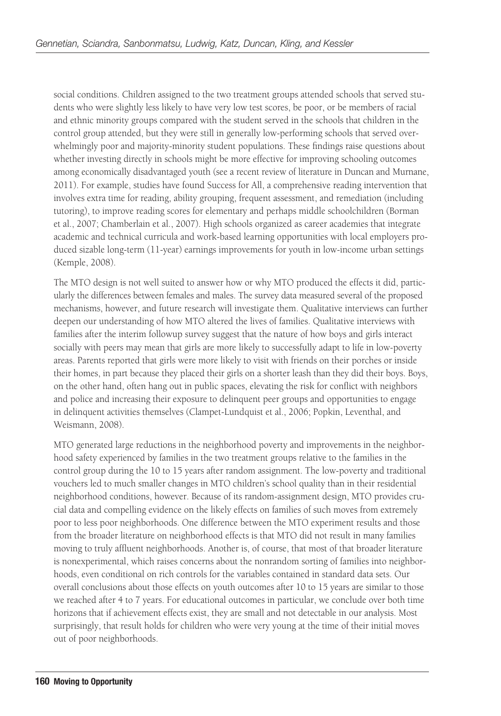social conditions. Children assigned to the two treatment groups attended schools that served students who were slightly less likely to have very low test scores, be poor, or be members of racial and ethnic minority groups compared with the student served in the schools that children in the control group attended, but they were still in generally low-performing schools that served overwhelmingly poor and majority-minority student populations. These findings raise questions about whether investing directly in schools might be more effective for improving schooling outcomes among economically disadvantaged youth (see a recent review of literature in Duncan and Murnane, 2011). For example, studies have found Success for All, a comprehensive reading intervention that involves extra time for reading, ability grouping, frequent assessment, and remediation (including tutoring), to improve reading scores for elementary and perhaps middle schoolchildren (Borman et al., 2007; Chamberlain et al., 2007). High schools organized as career academies that integrate academic and technical curricula and work-based learning opportunities with local employers produced sizable long-term (11-year) earnings improvements for youth in low-income urban settings (Kemple, 2008).

The MTO design is not well suited to answer how or why MTO produced the effects it did, particularly the differences between females and males. The survey data measured several of the proposed mechanisms, however, and future research will investigate them. Qualitative interviews can further deepen our understanding of how MTO altered the lives of families. Qualitative interviews with families after the interim followup survey suggest that the nature of how boys and girls interact socially with peers may mean that girls are more likely to successfully adapt to life in low-poverty areas. Parents reported that girls were more likely to visit with friends on their porches or inside their homes, in part because they placed their girls on a shorter leash than they did their boys. Boys, on the other hand, often hang out in public spaces, elevating the risk for conflict with neighbors and police and increasing their exposure to delinquent peer groups and opportunities to engage in delinquent activities themselves (Clampet-Lundquist et al., 2006; Popkin, Leventhal, and Weismann, 2008).

MTO generated large reductions in the neighborhood poverty and improvements in the neighborhood safety experienced by families in the two treatment groups relative to the families in the control group during the 10 to 15 years after random assignment. The low-poverty and traditional vouchers led to much smaller changes in MTO children's school quality than in their residential neighborhood conditions, however. Because of its random-assignment design, MTO provides crucial data and compelling evidence on the likely effects on families of such moves from extremely poor to less poor neighborhoods. One difference between the MTO experiment results and those from the broader literature on neighborhood effects is that MTO did not result in many families moving to truly affluent neighborhoods. Another is, of course, that most of that broader literature is nonexperimental, which raises concerns about the nonrandom sorting of families into neighborhoods, even conditional on rich controls for the variables contained in standard data sets. Our overall conclusions about those effects on youth outcomes after 10 to 15 years are similar to those we reached after 4 to 7 years. For educational outcomes in particular, we conclude over both time horizons that if achievement effects exist, they are small and not detectable in our analysis. Most surprisingly, that result holds for children who were very young at the time of their initial moves out of poor neighborhoods.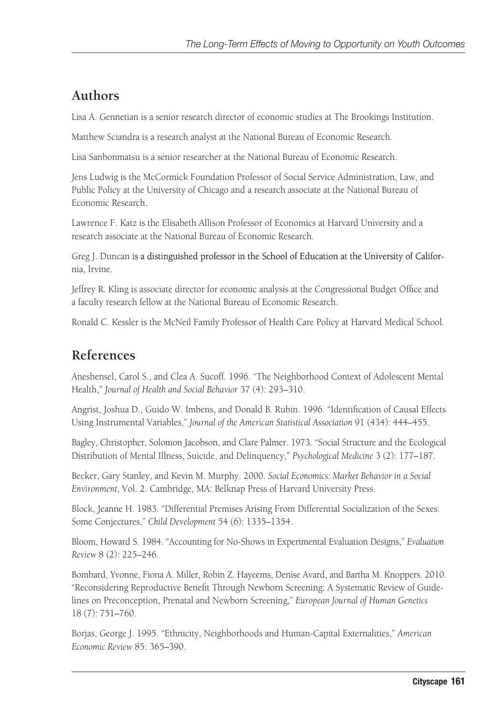## **Authors**

Lisa A. Gennetian is a senior research director of economic studies at The Brookings Institution.

Matthew Sciandra is a research analyst at the National Bureau of Economic Research.

Lisa Sanbonmatsu is a senior researcher at the National Bureau of Economic Research.

Jens Ludwig is the McCormick Foundation Professor of Social Service Administration, Law, and Public Policy at the University of Chicago and a research associate at the National Bureau of Economic Research.

Lawrence F. Katz is the Elisabeth Allison Professor of Economics at Harvard University and a research associate at the National Bureau of Economic Research.

Greg J. Duncan is a distinguished professor in the School of Education at the University of California, Irvine.

Jeffrey R. Kling is associate director for economic analysis at the Congressional Budget Office and a faculty research fellow at the National Bureau of Economic Research.

Ronald C. Kessler is the McNeil Family Professor of Health Care Policy at Harvard Medical School.

## **References**

Aneshensel, Carol S., and Clea A. Sucoff. 1996. "The Neighborhood Context of Adolescent Mental Health," *Journal of Health and Social Behavior* 37 (4): 293–310.

Angrist, Joshua D., Guido W. Imbens, and Donald B. Rubin. 1996. "Identification of Causal Effects Using Instrumental Variables," *Journal of the American Statistical Association* 91 (434): 444–455.

Bagley, Christopher, Solomon Jacobson, and Clare Palmer. 1973. "Social Structure and the Ecological Distribution of Mental Illness, Suicide, and Delinquency," *Psychological Medicine* 3 (2): 177–187.

Becker, Gary Stanley, and Kevin M. Murphy. 2000. *Social Economics: Market Behavior in a Social Environment*, Vol. 2. Cambridge, MA: Belknap Press of Harvard University Press.

Block, Jeanne H. 1983. "Differential Premises Arising From Differential Socialization of the Sexes: Some Conjectures," *Child Development* 54 (6): 1335–1354.

Bloom, Howard S. 1984. "Accounting for No-Shows in Experimental Evaluation Designs," *Evaluation Review* 8 (2): 225–246.

Bombard, Yvonne, Fiona A. Miller, Robin Z. Hayeems, Denise Avard, and Bartha M. Knoppers. 2010. "Reconsidering Reproductive Benefit Through Newborn Screening: A Systematic Review of Guidelines on Preconception, Prenatal and Newborn Screening," *European Journal of Human Genetics* 18 (7): 751–760.

Borjas, George J. 1995. "Ethnicity, Neighborhoods and Human-Capital Externalities," *American Economic Review* 85: 365–390.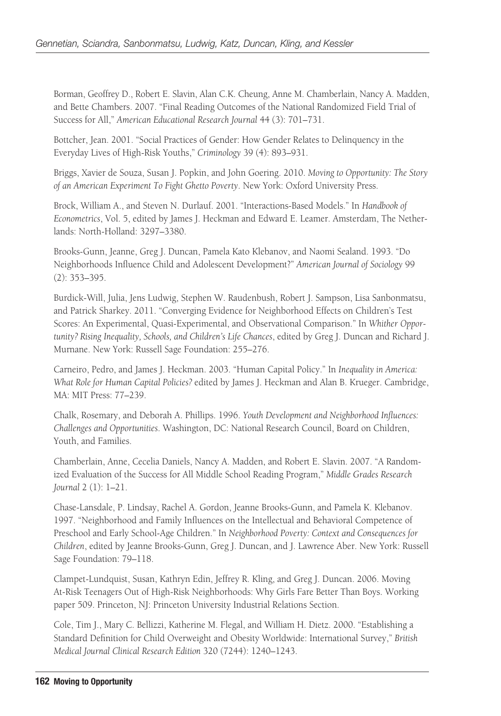Borman, Geoffrey D., Robert E. Slavin, Alan C.K. Cheung, Anne M. Chamberlain, Nancy A. Madden, and Bette Chambers. 2007. "Final Reading Outcomes of the National Randomized Field Trial of Success for All," *American Educational Research Journal* 44 (3): 701–731.

Bottcher, Jean. 2001. "Social Practices of Gender: How Gender Relates to Delinquency in the Everyday Lives of High-Risk Youths," *Criminology* 39 (4): 893–931.

Briggs, Xavier de Souza, Susan J. Popkin, and John Goering. 2010. *Moving to Opportunity: The Story of an American Experiment To Fight Ghetto Poverty*. New York: Oxford University Press.

Brock, William A., and Steven N. Durlauf. 2001. "Interactions-Based Models." In *Handbook of Econometrics*, Vol. 5, edited by James J. Heckman and Edward E. Leamer. Amsterdam, The Netherlands: North-Holland: 3297–3380.

Brooks-Gunn, Jeanne, Greg J. Duncan, Pamela Kato Klebanov, and Naomi Sealand. 1993. "Do Neighborhoods Influence Child and Adolescent Development?" *American Journal of Sociology* 99 (2): 353–395.

Burdick-Will, Julia, Jens Ludwig, Stephen W. Raudenbush, Robert J. Sampson, Lisa Sanbonmatsu, and Patrick Sharkey. 2011. "Converging Evidence for Neighborhood Effects on Children's Test Scores: An Experimental, Quasi-Experimental, and Observational Comparison." In *Whither Opportunity? Rising Inequality, Schools, and Children's Life Chances*, edited by Greg J. Duncan and Richard J. Murnane. New York: Russell Sage Foundation: 255–276.

Carneiro, Pedro, and James J. Heckman. 2003. "Human Capital Policy." In *Inequality in America: What Role for Human Capital Policies?* edited by James J. Heckman and Alan B. Krueger. Cambridge, MA: MIT Press: 77–239.

Chalk, Rosemary, and Deborah A. Phillips. 1996. *Youth Development and Neighborhood Influences: Challenges and Opportunities*. Washington, DC: National Research Council, Board on Children, Youth, and Families.

Chamberlain, Anne, Cecelia Daniels, Nancy A. Madden, and Robert E. Slavin. 2007. "A Randomized Evaluation of the Success for All Middle School Reading Program," *Middle Grades Research Journal* 2 (1): 1–21.

Chase-Lansdale, P. Lindsay, Rachel A. Gordon, Jeanne Brooks-Gunn, and Pamela K. Klebanov. 1997. "Neighborhood and Family Influences on the Intellectual and Behavioral Competence of Preschool and Early School-Age Children." In *Neighborhood Poverty: Context and Consequences for Children*, edited by Jeanne Brooks-Gunn, Greg J. Duncan, and J. Lawrence Aber. New York: Russell Sage Foundation: 79–118.

Clampet-Lundquist, Susan, Kathryn Edin, Jeffrey R. Kling, and Greg J. Duncan. 2006. Moving At-Risk Teenagers Out of High-Risk Neighborhoods: Why Girls Fare Better Than Boys. Working paper 509. Princeton, NJ: Princeton University Industrial Relations Section.

Cole, Tim J., Mary C. Bellizzi, Katherine M. Flegal, and William H. Dietz. 2000. "Establishing a Standard Definition for Child Overweight and Obesity Worldwide: International Survey," *British Medical Journal Clinical Research Edition* 320 (7244): 1240–1243.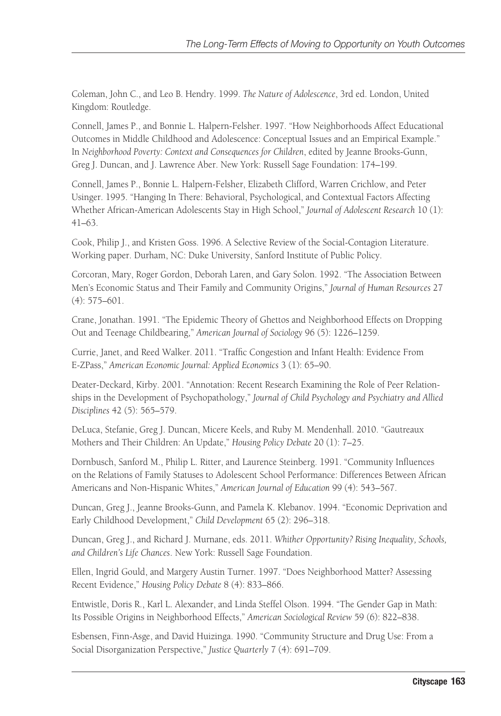Coleman, John C., and Leo B. Hendry. 1999. *The Nature of Adolescence*, 3rd ed. London, United Kingdom: Routledge.

Connell, James P., and Bonnie L. Halpern-Felsher. 1997. "How Neighborhoods Affect Educational Outcomes in Middle Childhood and Adolescence: Conceptual Issues and an Empirical Example." In *Neighborhood Poverty: Context and Consequences for Children*, edited by Jeanne Brooks-Gunn, Greg J. Duncan, and J. Lawrence Aber. New York: Russell Sage Foundation: 174–199.

Connell, James P., Bonnie L. Halpern-Felsher, Elizabeth Clifford, Warren Crichlow, and Peter Usinger. 1995. "Hanging In There: Behavioral, Psychological, and Contextual Factors Affecting Whether African-American Adolescents Stay in High School," *Journal of Adolescent Research* 10 (1): 41–63.

Cook, Philip J., and Kristen Goss. 1996. A Selective Review of the Social-Contagion Literature. Working paper. Durham, NC: Duke University, Sanford Institute of Public Policy.

Corcoran, Mary, Roger Gordon, Deborah Laren, and Gary Solon. 1992. "The Association Between Men's Economic Status and Their Family and Community Origins," *Journal of Human Resources* 27 (4): 575–601.

Crane, Jonathan. 1991. "The Epidemic Theory of Ghettos and Neighborhood Effects on Dropping Out and Teenage Childbearing," *American Journal of Sociology* 96 (5): 1226–1259.

Currie, Janet, and Reed Walker. 2011. "Traffic Congestion and Infant Health: Evidence From E-ZPass," *American Economic Journal: Applied Economics* 3 (1): 65–90.

Deater-Deckard, Kirby. 2001. "Annotation: Recent Research Examining the Role of Peer Relationships in the Development of Psychopathology," *Journal of Child Psychology and Psychiatry and Allied Disciplines* 42 (5): 565–579.

DeLuca, Stefanie, Greg J. Duncan, Micere Keels, and Ruby M. Mendenhall. 2010. "Gautreaux Mothers and Their Children: An Update," *Housing Policy Debate* 20 (1): 7–25.

Dornbusch, Sanford M., Philip L. Ritter, and Laurence Steinberg. 1991. "Community Influences on the Relations of Family Statuses to Adolescent School Performance: Differences Between African Americans and Non-Hispanic Whites," *American Journal of Education* 99 (4): 543–567.

Duncan, Greg J., Jeanne Brooks-Gunn, and Pamela K. Klebanov. 1994. "Economic Deprivation and Early Childhood Development," *Child Development* 65 (2): 296–318.

Duncan, Greg J., and Richard J. Murnane, eds. 2011. *Whither Opportunity? Rising Inequality, Schools, and Children's Life Chances*. New York: Russell Sage Foundation.

Ellen, Ingrid Gould, and Margery Austin Turner. 1997. "Does Neighborhood Matter? Assessing Recent Evidence," *Housing Policy Debate* 8 (4): 833–866.

Entwistle, Doris R., Karl L. Alexander, and Linda Steffel Olson. 1994. "The Gender Gap in Math: Its Possible Origins in Neighborhood Effects," *American Sociological Review* 59 (6): 822–838.

Esbensen, Finn-Asge, and David Huizinga. 1990. "Community Structure and Drug Use: From a Social Disorganization Perspective," *Justice Quarterly* 7 (4): 691–709.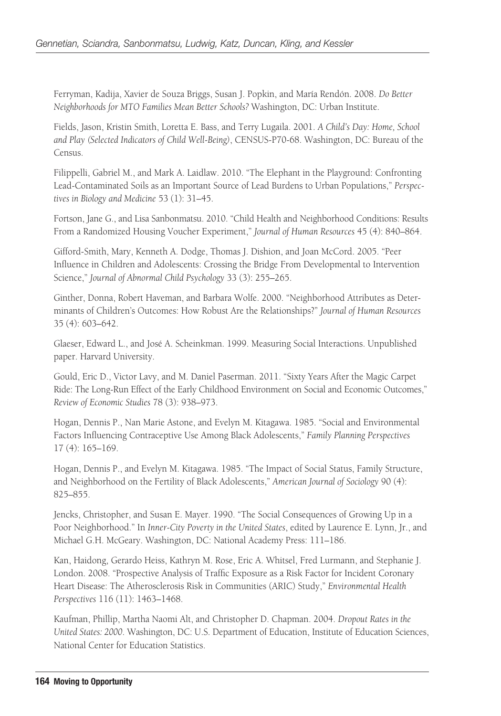Ferryman, Kadija, Xavier de Souza Briggs, Susan J. Popkin, and María Rendón. 2008. *Do Better Neighborhoods for MTO Families Mean Better Schools?* Washington, DC: Urban Institute.

Fields, Jason, Kristin Smith, Loretta E. Bass, and Terry Lugaila. 2001. *A Child's Day: Home, School and Play (Selected Indicators of Child Well-Being)*, CENSUS-P70-68. Washington, DC: Bureau of the Census.

Filippelli, Gabriel M., and Mark A. Laidlaw. 2010. "The Elephant in the Playground: Confronting Lead-Contaminated Soils as an Important Source of Lead Burdens to Urban Populations," *Perspectives in Biology and Medicine* 53 (1): 31–45.

Fortson, Jane G., and Lisa Sanbonmatsu. 2010. "Child Health and Neighborhood Conditions: Results From a Randomized Housing Voucher Experiment," *Journal of Human Resources* 45 (4): 840–864.

Gifford-Smith, Mary, Kenneth A. Dodge, Thomas J. Dishion, and Joan McCord. 2005. "Peer Influence in Children and Adolescents: Crossing the Bridge From Developmental to Intervention Science," *Journal of Abnormal Child Psychology* 33 (3): 255–265.

Ginther, Donna, Robert Haveman, and Barbara Wolfe. 2000. "Neighborhood Attributes as Determinants of Children's Outcomes: How Robust Are the Relationships?" *Journal of Human Resources* 35 (4): 603–642.

Glaeser, Edward L., and José A. Scheinkman. 1999. Measuring Social Interactions. Unpublished paper. Harvard University.

Gould, Eric D., Victor Lavy, and M. Daniel Paserman. 2011. "Sixty Years After the Magic Carpet Ride: The Long-Run Effect of the Early Childhood Environment on Social and Economic Outcomes," *Review of Economic Studies* 78 (3): 938–973.

Hogan, Dennis P., Nan Marie Astone, and Evelyn M. Kitagawa. 1985. "Social and Environmental Factors Influencing Contraceptive Use Among Black Adolescents," *Family Planning Perspectives* 17 (4): 165–169.

Hogan, Dennis P., and Evelyn M. Kitagawa. 1985. "The Impact of Social Status, Family Structure, and Neighborhood on the Fertility of Black Adolescents," *American Journal of Sociology* 90 (4): 825–855.

Jencks, Christopher, and Susan E. Mayer. 1990. "The Social Consequences of Growing Up in a Poor Neighborhood." In *Inner-City Poverty in the United States*, edited by Laurence E. Lynn, Jr., and Michael G.H. McGeary. Washington, DC: National Academy Press: 111–186.

Kan, Haidong, Gerardo Heiss, Kathryn M. Rose, Eric A. Whitsel, Fred Lurmann, and Stephanie J. London. 2008. "Prospective Analysis of Traffic Exposure as a Risk Factor for Incident Coronary Heart Disease: The Atherosclerosis Risk in Communities (ARIC) Study," *Environmental Health Perspectives* 116 (11): 1463–1468.

Kaufman, Phillip, Martha Naomi Alt, and Christopher D. Chapman. 2004. *Dropout Rates in the United States: 2000*. Washington, DC: U.S. Department of Education, Institute of Education Sciences, National Center for Education Statistics.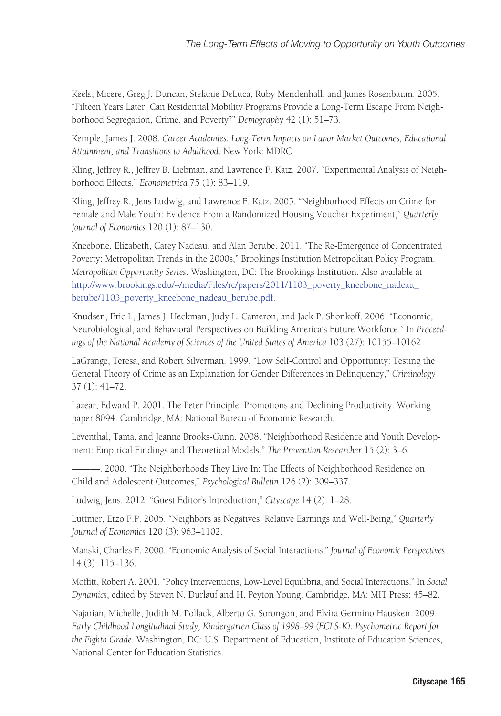Keels, Micere, Greg J. Duncan, Stefanie DeLuca, Ruby Mendenhall, and James Rosenbaum. 2005. "Fifteen Years Later: Can Residential Mobility Programs Provide a Long-Term Escape From Neighborhood Segregation, Crime, and Poverty?" *Demography* 42 (1): 51–73.

Kemple, James J. 2008. *Career Academies: Long-Term Impacts on Labor Market Outcomes, Educational Attainment, and Transitions to Adulthood*. New York: MDRC.

Kling, Jeffrey R., Jeffrey B. Liebman, and Lawrence F. Katz. 2007. "Experimental Analysis of Neighborhood Effects," *Econometrica* 75 (1): 83–119.

Kling, Jeffrey R., Jens Ludwig, and Lawrence F. Katz. 2005. "Neighborhood Effects on Crime for Female and Male Youth: Evidence From a Randomized Housing Voucher Experiment," *Quarterly Journal of Economics* 120 (1): 87–130.

Kneebone, Elizabeth, Carey Nadeau, and Alan Berube. 2011. "The Re-Emergence of Concentrated Poverty: Metropolitan Trends in the 2000s," Brookings Institution Metropolitan Policy Program. *Metropolitan Opportunity Series*. Washington, DC: The Brookings Institution. Also available at [http://www.brookings.edu/~/media/Files/rc/papers/2011/1103\\_poverty\\_kneebone\\_nadeau\\_](http://www.brookings.edu/~/media/Files/rc/papers/2011/1103_poverty_kneebone_nadeau_berube/1103_poverty_kneebone_nadeau_berube.pdf) [berube/1103\\_poverty\\_kneebone\\_nadeau\\_berube.pdf.](http://www.brookings.edu/~/media/Files/rc/papers/2011/1103_poverty_kneebone_nadeau_berube/1103_poverty_kneebone_nadeau_berube.pdf)

Knudsen, Eric I., James J. Heckman, Judy L. Cameron, and Jack P. Shonkoff. 2006. "Economic, Neurobiological, and Behavioral Perspectives on Building America's Future Workforce." In *Proceedings of the National Academy of Sciences of the United States of America* 103 (27): 10155–10162.

LaGrange, Teresa, and Robert Silverman. 1999. "Low Self-Control and Opportunity: Testing the General Theory of Crime as an Explanation for Gender Differences in Delinquency," *Criminology* 37 (1): 41–72.

Lazear, Edward P. 2001. The Peter Principle: Promotions and Declining Productivity. Working paper 8094. Cambridge, MA: National Bureau of Economic Research.

Leventhal, Tama, and Jeanne Brooks-Gunn. 2008. "Neighborhood Residence and Youth Development: Empirical Findings and Theoretical Models," *The Prevention Researcher* 15 (2): 3–6.

———. 2000. "The Neighborhoods They Live In: The Effects of Neighborhood Residence on Child and Adolescent Outcomes," *Psychological Bulletin* 126 (2): 309–337.

Ludwig, Jens. 2012. "Guest Editor's Introduction," *Cityscape* 14 (2): 1–28.

Luttmer, Erzo F.P. 2005. "Neighbors as Negatives: Relative Earnings and Well-Being," *Quarterly Journal of Economics* 120 (3): 963–1102.

Manski, Charles F. 2000. "Economic Analysis of Social Interactions," *Journal of Economic Perspectives* 14 (3): 115–136.

Moffitt, Robert A. 2001. "Policy Interventions, Low-Level Equilibria, and Social Interactions." In *Social Dynamics*, edited by Steven N. Durlauf and H. Peyton Young. Cambridge, MA: MIT Press: 45–82.

Najarian, Michelle, Judith M. Pollack, Alberto G. Sorongon, and Elvira Germino Hausken. 2009. *Early Childhood Longitudinal Study, Kindergarten Class of 1998–99 (ECLS-K): Psychometric Report for the Eighth Grade*. Washington, DC: U.S. Department of Education, Institute of Education Sciences, National Center for Education Statistics.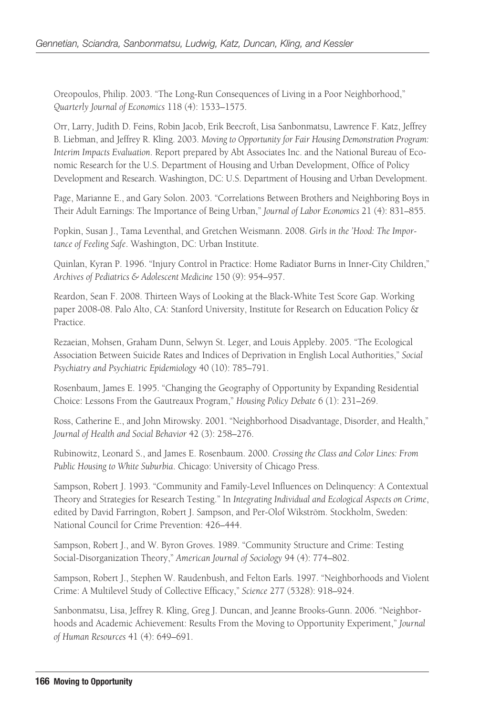Oreopoulos, Philip. 2003. "The Long-Run Consequences of Living in a Poor Neighborhood," *Quarterly Journal of Economics* 118 (4): 1533–1575.

Orr, Larry, Judith D. Feins, Robin Jacob, Erik Beecroft, Lisa Sanbonmatsu, Lawrence F. Katz, Jeffrey B. Liebman, and Jeffrey R. Kling. 2003. *Moving to Opportunity for Fair Housing Demonstration Program: Interim Impacts Evaluation*. Report prepared by Abt Associates Inc. and the National Bureau of Economic Research for the U.S. Department of Housing and Urban Development, Office of Policy Development and Research. Washington, DC: U.S. Department of Housing and Urban Development.

Page, Marianne E., and Gary Solon. 2003. "Correlations Between Brothers and Neighboring Boys in Their Adult Earnings: The Importance of Being Urban," *Journal of Labor Economics* 21 (4): 831–855.

Popkin, Susan J., Tama Leventhal, and Gretchen Weismann. 2008. *Girls in the 'Hood: The Importance of Feeling Safe*. Washington, DC: Urban Institute.

Quinlan, Kyran P. 1996. "Injury Control in Practice: Home Radiator Burns in Inner-City Children," *Archives of Pediatrics & Adolescent Medicine* 150 (9): 954–957.

Reardon, Sean F. 2008. Thirteen Ways of Looking at the Black-White Test Score Gap. Working paper 2008-08. Palo Alto, CA: Stanford University, Institute for Research on Education Policy & Practice.

Rezaeian, Mohsen, Graham Dunn, Selwyn St. Leger, and Louis Appleby. 2005. "The Ecological Association Between Suicide Rates and Indices of Deprivation in English Local Authorities," *Social Psychiatry and Psychiatric Epidemiology* 40 (10): 785–791.

Rosenbaum, James E. 1995. "Changing the Geography of Opportunity by Expanding Residential Choice: Lessons From the Gautreaux Program," *Housing Policy Debate* 6 (1): 231–269.

Ross, Catherine E., and John Mirowsky. 2001. "Neighborhood Disadvantage, Disorder, and Health," *Journal of Health and Social Behavior* 42 (3): 258–276.

Rubinowitz, Leonard S., and James E. Rosenbaum. 2000. *Crossing the Class and Color Lines: From Public Housing to White Suburbia*. Chicago: University of Chicago Press.

Sampson, Robert J. 1993. "Community and Family-Level Influences on Delinquency: A Contextual Theory and Strategies for Research Testing." In *Integrating Individual and Ecological Aspects on Crime*, edited by David Farrington, Robert J. Sampson, and Per-Olof Wikström. Stockholm, Sweden: National Council for Crime Prevention: 426–444.

Sampson, Robert J., and W. Byron Groves. 1989. "Community Structure and Crime: Testing Social-Disorganization Theory," *American Journal of Sociology* 94 (4): 774–802.

Sampson, Robert J., Stephen W. Raudenbush, and Felton Earls. 1997. "Neighborhoods and Violent Crime: A Multilevel Study of Collective Efficacy," *Science* 277 (5328): 918–924.

Sanbonmatsu, Lisa, Jeffrey R. Kling, Greg J. Duncan, and Jeanne Brooks-Gunn. 2006. "Neighborhoods and Academic Achievement: Results From the Moving to Opportunity Experiment," *Journal of Human Resources* 41 (4): 649–691.